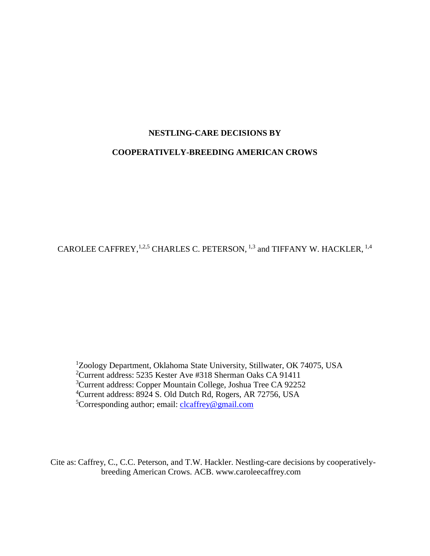# **NESTLING-CARE DECISIONS BY**

# **COOPERATIVELY-BREEDING AMERICAN CROWS**

CAROLEE CAFFREY,  $1,2,5$  CHARLES C. PETERSON,  $1,3$  and TIFFANY W. HACKLER,  $1,4$ 

<sup>1</sup>Zoology Department, Oklahoma State University, Stillwater, OK 74075, USA <sup>2</sup>Current address: 5235 Kester Ave #318 Sherman Oaks CA 91411 <sup>3</sup>Current address: Copper Mountain College, Joshua Tree CA 92252 <sup>4</sup>Current address: 8924 S. Old Dutch Rd, Rogers, AR 72756, USA <sup>5</sup>Corresponding author; email: [clcaffrey@gmail.com](mailto:clcaffrey@gmail.com)

Cite as: Caffrey, C., C.C. Peterson, and T.W. Hackler. Nestling-care decisions by cooperativelybreeding American Crows. ACB. www.caroleecaffrey.com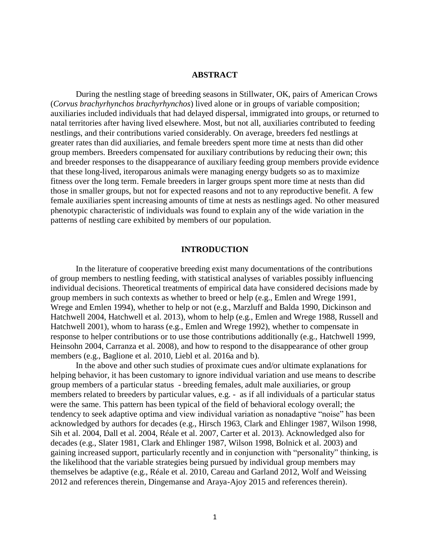# **ABSTRACT**

During the nestling stage of breeding seasons in Stillwater, OK, pairs of American Crows (*Corvus brachyrhynchos brachyrhynchos*) lived alone or in groups of variable composition; auxiliaries included individuals that had delayed dispersal, immigrated into groups, or returned to natal territories after having lived elsewhere. Most, but not all, auxiliaries contributed to feeding nestlings, and their contributions varied considerably. On average, breeders fed nestlings at greater rates than did auxiliaries, and female breeders spent more time at nests than did other group members. Breeders compensated for auxiliary contributions by reducing their own; this and breeder responses to the disappearance of auxiliary feeding group members provide evidence that these long-lived, iteroparous animals were managing energy budgets so as to maximize fitness over the long term. Female breeders in larger groups spent more time at nests than did those in smaller groups, but not for expected reasons and not to any reproductive benefit. A few female auxiliaries spent increasing amounts of time at nests as nestlings aged. No other measured phenotypic characteristic of individuals was found to explain any of the wide variation in the patterns of nestling care exhibited by members of our population.

# **INTRODUCTION**

In the literature of cooperative breeding exist many documentations of the contributions of group members to nestling feeding, with statistical analyses of variables possibly influencing individual decisions. Theoretical treatments of empirical data have considered decisions made by group members in such contexts as whether to breed or help (e.g., Emlen and Wrege 1991, Wrege and Emlen 1994), whether to help or not (e.g., Marzluff and Balda 1990, Dickinson and Hatchwell 2004, Hatchwell et al. 2013), whom to help (e.g., Emlen and Wrege 1988, Russell and Hatchwell 2001), whom to harass (e.g., Emlen and Wrege 1992), whether to compensate in response to helper contributions or to use those contributions additionally (e.g., Hatchwell 1999, Heinsohn 2004, Carranza et al. 2008), and how to respond to the disappearance of other group members (e.g., Baglione et al. 2010, Liebl et al. 2016a and b).

In the above and other such studies of proximate cues and/or ultimate explanations for helping behavior, it has been customary to ignore individual variation and use means to describe group members of a particular status - breeding females, adult male auxiliaries, or group members related to breeders by particular values, e.g. - as if all individuals of a particular status were the same. This pattern has been typical of the field of behavioral ecology overall; the tendency to seek adaptive optima and view individual variation as nonadaptive "noise" has been acknowledged by authors for decades (e.g., Hirsch 1963, Clark and Ehlinger 1987, Wilson 1998, Sih et al. 2004, Dall et al. 2004, Réale et al. 2007, Carter et al. 2013). Acknowledged also for decades (e.g., Slater 1981, Clark and Ehlinger 1987, Wilson 1998, Bolnick et al. 2003) and gaining increased support, particularly recently and in conjunction with "personality" thinking, is the likelihood that the variable strategies being pursued by individual group members may themselves be adaptive (e.g., Réale et al. 2010, Careau and Garland 2012, Wolf and Weissing 2012 and references therein, Dingemanse and Araya-Ajoy 2015 and references therein).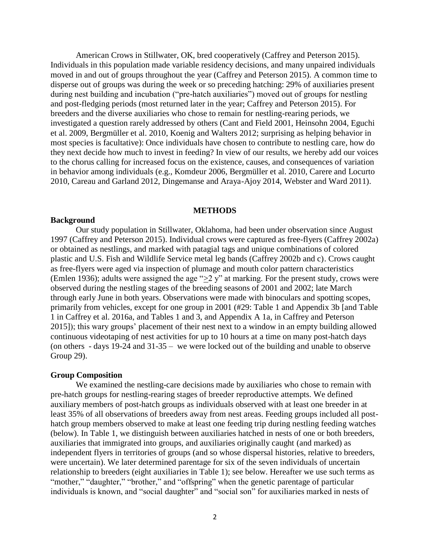American Crows in Stillwater, OK, bred cooperatively (Caffrey and Peterson 2015). Individuals in this population made variable residency decisions, and many unpaired individuals moved in and out of groups throughout the year (Caffrey and Peterson 2015). A common time to disperse out of groups was during the week or so preceding hatching: 29% of auxiliaries present during nest building and incubation ("pre-hatch auxiliaries") moved out of groups for nestling and post-fledging periods (most returned later in the year; Caffrey and Peterson 2015). For breeders and the diverse auxiliaries who chose to remain for nestling-rearing periods, we investigated a question rarely addressed by others (Cant and Field 2001, Heinsohn 2004, Eguchi et al. 2009, Bergmüller et al. 2010, Koenig and Walters 2012; surprising as helping behavior in most species is facultative): Once individuals have chosen to contribute to nestling care, how do they next decide how much to invest in feeding? In view of our results, we hereby add our voices to the chorus calling for increased focus on the existence, causes, and consequences of variation in behavior among individuals (e.g., Komdeur 2006, Bergmüller et al. 2010, Carere and Locurto 2010, Careau and Garland 2012, Dingemanse and Araya-Ajoy 2014, Webster and Ward 2011).

### **METHODS**

### **Background**

Our study population in Stillwater, Oklahoma, had been under observation since August 1997 (Caffrey and Peterson 2015). Individual crows were captured as free-flyers (Caffrey 2002a) or obtained as nestlings, and marked with patagial tags and unique combinations of colored plastic and U.S. Fish and Wildlife Service metal leg bands (Caffrey 2002b and c). Crows caught as free-flyers were aged via inspection of plumage and mouth color pattern characteristics (Emlen 1936); adults were assigned the age " $\geq$ 2 y" at marking. For the present study, crows were observed during the nestling stages of the breeding seasons of 2001 and 2002; late March through early June in both years. Observations were made with binoculars and spotting scopes, primarily from vehicles, except for one group in 2001 (#29: Table 1 and Appendix 3b [and Table 1 in Caffrey et al. 2016a, and Tables 1 and 3, and Appendix A 1a, in Caffrey and Peterson 2015]); this wary groups' placement of their nest next to a window in an empty building allowed continuous videotaping of nest activities for up to 10 hours at a time on many post-hatch days (on others - days 19-24 and 31-35 – we were locked out of the building and unable to observe Group 29).

### **Group Composition**

We examined the nestling-care decisions made by auxiliaries who chose to remain with pre-hatch groups for nestling-rearing stages of breeder reproductive attempts. We defined auxiliary members of post-hatch groups as individuals observed with at least one breeder in at least 35% of all observations of breeders away from nest areas. Feeding groups included all posthatch group members observed to make at least one feeding trip during nestling feeding watches (below). In Table 1, we distinguish between auxiliaries hatched in nests of one or both breeders, auxiliaries that immigrated into groups, and auxiliaries originally caught (and marked) as independent flyers in territories of groups (and so whose dispersal histories, relative to breeders, were uncertain). We later determined parentage for six of the seven individuals of uncertain relationship to breeders (eight auxiliaries in Table 1); see below. Hereafter we use such terms as "mother," "daughter," "brother," and "offspring" when the genetic parentage of particular individuals is known, and "social daughter" and "social son" for auxiliaries marked in nests of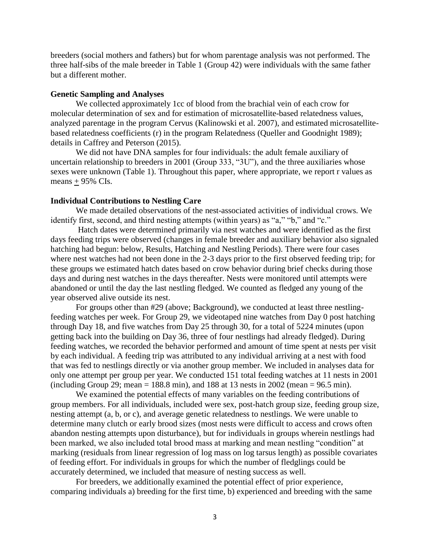breeders (social mothers and fathers) but for whom parentage analysis was not performed. The three half-sibs of the male breeder in Table 1 (Group 42) were individuals with the same father but a different mother.

# **Genetic Sampling and Analyses**

We collected approximately 1cc of blood from the brachial vein of each crow for molecular determination of sex and for estimation of microsatellite-based relatedness values, analyzed parentage in the program Cervus (Kalinowski et al. 2007), and estimated microsatellitebased relatedness coefficients (r) in the program Relatedness (Queller and Goodnight 1989); details in Caffrey and Peterson (2015).

We did not have DNA samples for four individuals: the adult female auxiliary of uncertain relationship to breeders in 2001 (Group 333, "3U"), and the three auxiliaries whose sexes were unknown (Table 1). Throughout this paper, where appropriate, we report r values as means  $+95\%$  CIs.

# **Individual Contributions to Nestling Care**

We made detailed observations of the nest-associated activities of individual crows. We identify first, second, and third nesting attempts (within years) as "a," "b," and "c."

Hatch dates were determined primarily via nest watches and were identified as the first days feeding trips were observed (changes in female breeder and auxiliary behavior also signaled hatching had begun: below, Results, Hatching and Nestling Periods). There were four cases where nest watches had not been done in the 2-3 days prior to the first observed feeding trip; for these groups we estimated hatch dates based on crow behavior during brief checks during those days and during nest watches in the days thereafter. Nests were monitored until attempts were abandoned or until the day the last nestling fledged. We counted as fledged any young of the year observed alive outside its nest.

For groups other than #29 (above; Background), we conducted at least three nestlingfeeding watches per week. For Group 29, we videotaped nine watches from Day 0 post hatching through Day 18, and five watches from Day 25 through 30, for a total of 5224 minutes (upon getting back into the building on Day 36, three of four nestlings had already fledged). During feeding watches, we recorded the behavior performed and amount of time spent at nests per visit by each individual. A feeding trip was attributed to any individual arriving at a nest with food that was fed to nestlings directly or via another group member. We included in analyses data for only one attempt per group per year. We conducted 151 total feeding watches at 11 nests in 2001 (including Group 29; mean = 188.8 min), and 188 at 13 nests in 2002 (mean = 96.5 min).

We examined the potential effects of many variables on the feeding contributions of group members. For all individuals, included were sex, post-hatch group size, feeding group size, nesting attempt (a, b, or c), and average genetic relatedness to nestlings. We were unable to determine many clutch or early brood sizes (most nests were difficult to access and crows often abandon nesting attempts upon disturbance), but for individuals in groups wherein nestlings had been marked, we also included total brood mass at marking and mean nestling "condition" at marking (residuals from linear regression of log mass on log tarsus length) as possible covariates of feeding effort. For individuals in groups for which the number of fledglings could be accurately determined, we included that measure of nesting success as well.

For breeders, we additionally examined the potential effect of prior experience, comparing individuals a) breeding for the first time, b) experienced and breeding with the same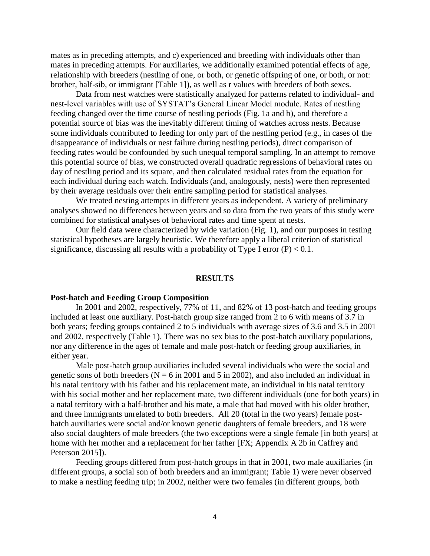mates as in preceding attempts, and c) experienced and breeding with individuals other than mates in preceding attempts. For auxiliaries, we additionally examined potential effects of age, relationship with breeders (nestling of one, or both, or genetic offspring of one, or both, or not: brother, half-sib, or immigrant [Table 1]), as well as r values with breeders of both sexes.

Data from nest watches were statistically analyzed for patterns related to individual- and nest-level variables with use of SYSTAT's General Linear Model module. Rates of nestling feeding changed over the time course of nestling periods (Fig. 1a and b), and therefore a potential source of bias was the inevitably different timing of watches across nests. Because some individuals contributed to feeding for only part of the nestling period (e.g., in cases of the disappearance of individuals or nest failure during nestling periods), direct comparison of feeding rates would be confounded by such unequal temporal sampling. In an attempt to remove this potential source of bias, we constructed overall quadratic regressions of behavioral rates on day of nestling period and its square, and then calculated residual rates from the equation for each individual during each watch. Individuals (and, analogously, nests) were then represented by their average residuals over their entire sampling period for statistical analyses.

We treated nesting attempts in different years as independent. A variety of preliminary analyses showed no differences between years and so data from the two years of this study were combined for statistical analyses of behavioral rates and time spent at nests.

Our field data were characterized by wide variation (Fig. 1), and our purposes in testing statistical hypotheses are largely heuristic. We therefore apply a liberal criterion of statistical significance, discussing all results with a probability of Type I error  $(P) < 0.1$ .

### **RESULTS**

# **Post-hatch and Feeding Group Composition**

In 2001 and 2002, respectively, 77% of 11, and 82% of 13 post-hatch and feeding groups included at least one auxiliary. Post-hatch group size ranged from 2 to 6 with means of 3.7 in both years; feeding groups contained 2 to 5 individuals with average sizes of 3.6 and 3.5 in 2001 and 2002, respectively (Table 1). There was no sex bias to the post-hatch auxiliary populations, nor any difference in the ages of female and male post-hatch or feeding group auxiliaries, in either year.

Male post-hatch group auxiliaries included several individuals who were the social and genetic sons of both breeders ( $N = 6$  in 2001 and 5 in 2002), and also included an individual in his natal territory with his father and his replacement mate, an individual in his natal territory with his social mother and her replacement mate, two different individuals (one for both years) in a natal territory with a half-brother and his mate, a male that had moved with his older brother, and three immigrants unrelated to both breeders. All 20 (total in the two years) female posthatch auxiliaries were social and/or known genetic daughters of female breeders, and 18 were also social daughters of male breeders (the two exceptions were a single female [in both years] at home with her mother and a replacement for her father [FX; Appendix A 2b in Caffrey and Peterson 20151).

Feeding groups differed from post-hatch groups in that in 2001, two male auxiliaries (in different groups, a social son of both breeders and an immigrant; Table 1) were never observed to make a nestling feeding trip; in 2002, neither were two females (in different groups, both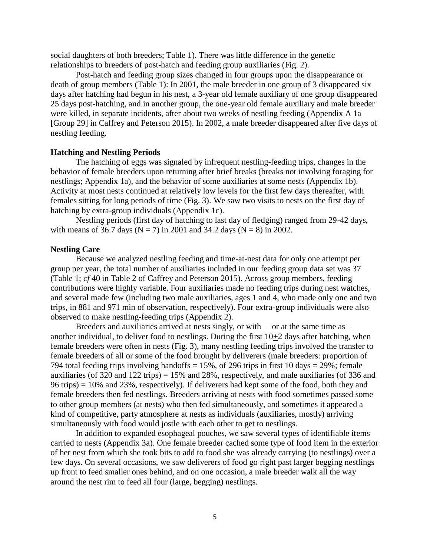social daughters of both breeders; Table 1). There was little difference in the genetic relationships to breeders of post-hatch and feeding group auxiliaries (Fig. 2).

Post-hatch and feeding group sizes changed in four groups upon the disappearance or death of group members (Table 1): In 2001, the male breeder in one group of 3 disappeared six days after hatching had begun in his nest, a 3-year old female auxiliary of one group disappeared 25 days post-hatching, and in another group, the one-year old female auxiliary and male breeder were killed, in separate incidents, after about two weeks of nestling feeding (Appendix A 1a [Group 29] in Caffrey and Peterson 2015). In 2002, a male breeder disappeared after five days of nestling feeding.

# **Hatching and Nestling Periods**

The hatching of eggs was signaled by infrequent nestling-feeding trips, changes in the behavior of female breeders upon returning after brief breaks (breaks not involving foraging for nestlings; Appendix 1a), and the behavior of some auxiliaries at some nests (Appendix 1b). Activity at most nests continued at relatively low levels for the first few days thereafter, with females sitting for long periods of time (Fig. 3). We saw two visits to nests on the first day of hatching by extra-group individuals (Appendix 1c).

Nestling periods (first day of hatching to last day of fledging) ranged from 29-42 days, with means of 36.7 days ( $N = 7$ ) in 2001 and 34.2 days ( $N = 8$ ) in 2002.

### **Nestling Care**

Because we analyzed nestling feeding and time-at-nest data for only one attempt per group per year, the total number of auxiliaries included in our feeding group data set was 37 (Table 1; *cf* 40 in Table 2 of Caffrey and Peterson 2015). Across group members, feeding contributions were highly variable. Four auxiliaries made no feeding trips during nest watches, and several made few (including two male auxiliaries, ages 1 and 4, who made only one and two trips, in 881 and 971 min of observation, respectively). Four extra-group individuals were also observed to make nestling-feeding trips (Appendix 2).

Breeders and auxiliaries arrived at nests singly, or with  $-$  or at the same time as  $$ another individual, to deliver food to nestlings. During the first  $10+2$  days after hatching, when female breeders were often in nests (Fig. 3), many nestling feeding trips involved the transfer to female breeders of all or some of the food brought by deliverers (male breeders: proportion of 794 total feeding trips involving handoffs  $= 15\%$ , of 296 trips in first 10 days  $= 29\%$ ; female auxiliaries (of 320 and 122 trips) = 15% and 28%, respectively, and male auxiliaries (of 336 and 96 trips) = 10% and 23%, respectively). If deliverers had kept some of the food, both they and female breeders then fed nestlings. Breeders arriving at nests with food sometimes passed some to other group members (at nests) who then fed simultaneously, and sometimes it appeared a kind of competitive, party atmosphere at nests as individuals (auxiliaries, mostly) arriving simultaneously with food would jostle with each other to get to nestlings.

In addition to expanded esophageal pouches, we saw several types of identifiable items carried to nests (Appendix 3a). One female breeder cached some type of food item in the exterior of her nest from which she took bits to add to food she was already carrying (to nestlings) over a few days. On several occasions, we saw deliverers of food go right past larger begging nestlings up front to feed smaller ones behind, and on one occasion, a male breeder walk all the way around the nest rim to feed all four (large, begging) nestlings.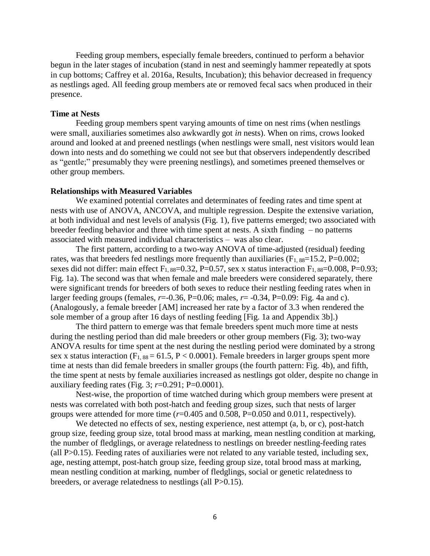Feeding group members, especially female breeders, continued to perform a behavior begun in the later stages of incubation (stand in nest and seemingly hammer repeatedly at spots in cup bottoms; Caffrey et al. 2016a, Results, Incubation); this behavior decreased in frequency as nestlings aged. All feeding group members ate or removed fecal sacs when produced in their presence.

# **Time at Nests**

Feeding group members spent varying amounts of time on nest rims (when nestlings were small, auxiliaries sometimes also awkwardly got *in* nests). When on rims, crows looked around and looked at and preened nestlings (when nestlings were small, nest visitors would lean down into nests and do something we could not see but that observers independently described as "gentle;" presumably they were preening nestlings), and sometimes preened themselves or other group members.

### **Relationships with Measured Variables**

We examined potential correlates and determinates of feeding rates and time spent at nests with use of ANOVA, ANCOVA, and multiple regression. Despite the extensive variation, at both individual and nest levels of analysis (Fig. 1), five patterns emerged; two associated with breeder feeding behavior and three with time spent at nests. A sixth finding – no patterns associated with measured individual characteristics – was also clear.

The first pattern, according to a two-way ANOVA of time-adjusted (residual) feeding rates, was that breeders fed nestlings more frequently than auxiliaries  $(F_{1.88}=15.2, P=0.002;$ sexes did not differ: main effect  $F_{1, 88}=0.32$ , P=0.57, sex x status interaction  $F_{1, 88}=0.008$ , P=0.93; Fig. 1a). The second was that when female and male breeders were considered separately, there were significant trends for breeders of both sexes to reduce their nestling feeding rates when in larger feeding groups (females,  $r = -0.36$ ,  $P = 0.06$ ; males,  $r = -0.34$ ,  $P = 0.09$ : Fig. 4a and c). (Analogously, a female breeder [AM] increased her rate by a factor of 3.3 when rendered the sole member of a group after 16 days of nestling feeding [Fig. 1a and Appendix 3b].)

The third pattern to emerge was that female breeders spent much more time at nests during the nestling period than did male breeders or other group members (Fig. 3); two-way ANOVA results for time spent at the nest during the nestling period were dominated by a strong sex x status interaction ( $F_{1, 88} = 61.5$ ,  $P < 0.0001$ ). Female breeders in larger groups spent more time at nests than did female breeders in smaller groups (the fourth pattern: Fig. 4b), and fifth, the time spent at nests by female auxiliaries increased as nestlings got older, despite no change in auxiliary feeding rates (Fig. 3; *r*=0.291; P=0.0001).

Nest-wise, the proportion of time watched during which group members were present at nests was correlated with both post-hatch and feeding group sizes, such that nests of larger groups were attended for more time (*r*=0.405 and 0.508, P=0.050 and 0.011, respectively).

We detected no effects of sex, nesting experience, nest attempt (a, b, or c), post-hatch group size, feeding group size, total brood mass at marking, mean nestling condition at marking, the number of fledglings, or average relatedness to nestlings on breeder nestling-feeding rates (all P>0.15). Feeding rates of auxiliaries were not related to any variable tested, including sex, age, nesting attempt, post-hatch group size, feeding group size, total brood mass at marking, mean nestling condition at marking, number of fledglings, social or genetic relatedness to breeders, or average relatedness to nestlings (all P>0.15).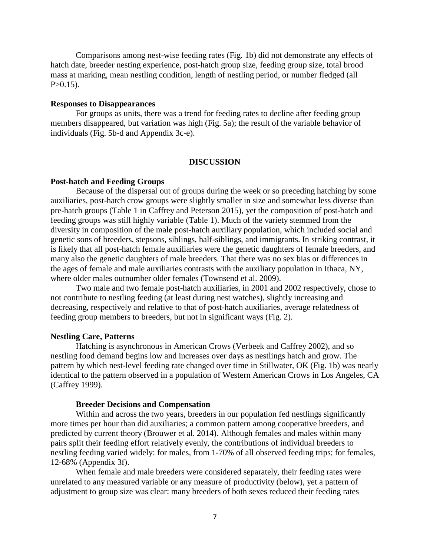Comparisons among nest-wise feeding rates (Fig. 1b) did not demonstrate any effects of hatch date, breeder nesting experience, post-hatch group size, feeding group size, total brood mass at marking, mean nestling condition, length of nestling period, or number fledged (all  $P > 0.15$ ).

# **Responses to Disappearances**

For groups as units, there was a trend for feeding rates to decline after feeding group members disappeared, but variation was high (Fig. 5a); the result of the variable behavior of individuals (Fig. 5b-d and Appendix 3c-e).

### **DISCUSSION**

# **Post-hatch and Feeding Groups**

Because of the dispersal out of groups during the week or so preceding hatching by some auxiliaries, post-hatch crow groups were slightly smaller in size and somewhat less diverse than pre-hatch groups (Table 1 in Caffrey and Peterson 2015), yet the composition of post-hatch and feeding groups was still highly variable (Table 1). Much of the variety stemmed from the diversity in composition of the male post-hatch auxiliary population, which included social and genetic sons of breeders, stepsons, siblings, half-siblings, and immigrants. In striking contrast, it is likely that all post-hatch female auxiliaries were the genetic daughters of female breeders, and many also the genetic daughters of male breeders. That there was no sex bias or differences in the ages of female and male auxiliaries contrasts with the auxiliary population in Ithaca, NY, where older males outnumber older females (Townsend et al. 2009).

Two male and two female post-hatch auxiliaries, in 2001 and 2002 respectively, chose to not contribute to nestling feeding (at least during nest watches), slightly increasing and decreasing, respectively and relative to that of post-hatch auxiliaries, average relatedness of feeding group members to breeders, but not in significant ways (Fig. 2).

# **Nestling Care, Patterns**

Hatching is asynchronous in American Crows (Verbeek and Caffrey 2002), and so nestling food demand begins low and increases over days as nestlings hatch and grow. The pattern by which nest-level feeding rate changed over time in Stillwater, OK (Fig. 1b) was nearly identical to the pattern observed in a population of Western American Crows in Los Angeles, CA (Caffrey 1999).

# **Breeder Decisions and Compensation**

Within and across the two years, breeders in our population fed nestlings significantly more times per hour than did auxiliaries; a common pattern among cooperative breeders, and predicted by current theory (Brouwer et al. 2014). Although females and males within many pairs split their feeding effort relatively evenly, the contributions of individual breeders to nestling feeding varied widely: for males, from 1-70% of all observed feeding trips; for females, 12-68% (Appendix 3f).

When female and male breeders were considered separately, their feeding rates were unrelated to any measured variable or any measure of productivity (below), yet a pattern of adjustment to group size was clear: many breeders of both sexes reduced their feeding rates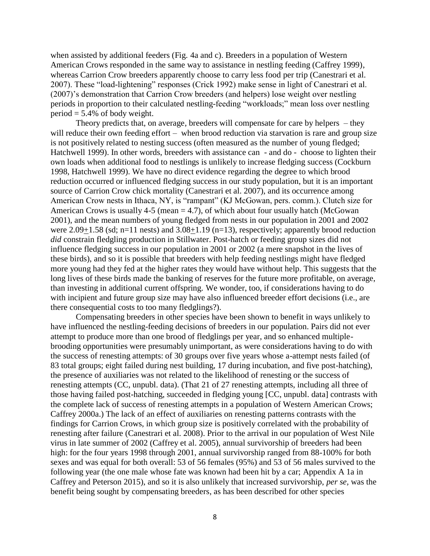when assisted by additional feeders (Fig. 4a and c). Breeders in a population of Western American Crows responded in the same way to assistance in nestling feeding (Caffrey 1999), whereas Carrion Crow breeders apparently choose to carry less food per trip (Canestrari et al. 2007). These "load-lightening" responses (Crick 1992) make sense in light of Canestrari et al. (2007)'s demonstration that Carrion Crow breeders (and helpers) lose weight over nestling periods in proportion to their calculated nestling-feeding "workloads;" mean loss over nestling period  $= 5.4\%$  of body weight.

Theory predicts that, on average, breeders will compensate for care by helpers – they will reduce their own feeding effort – when brood reduction via starvation is rare and group size is not positively related to nesting success (often measured as the number of young fledged; Hatchwell 1999). In other words, breeders with assistance can - and do - choose to lighten their own loads when additional food to nestlings is unlikely to increase fledging success (Cockburn 1998, Hatchwell 1999). We have no direct evidence regarding the degree to which brood reduction occurred or influenced fledging success in our study population, but it is an important source of Carrion Crow chick mortality (Canestrari et al. 2007), and its occurrence among American Crow nests in Ithaca, NY, is "rampant" (KJ McGowan, pers. comm.). Clutch size for American Crows is usually  $4-5$  (mean  $= 4.7$ ), of which about four usually hatch (McGowan 2001), and the mean numbers of young fledged from nests in our population in 2001 and 2002 were  $2.09+1.58$  (sd; n=11 nests) and  $3.08+1.19$  (n=13), respectively; apparently brood reduction *did* constrain fledgling production in Stillwater. Post-hatch or feeding group sizes did not influence fledging success in our population in 2001 or 2002 (a mere snapshot in the lives of these birds), and so it is possible that breeders with help feeding nestlings might have fledged more young had they fed at the higher rates they would have without help. This suggests that the long lives of these birds made the banking of reserves for the future more profitable, on average, than investing in additional current offspring. We wonder, too, if considerations having to do with incipient and future group size may have also influenced breeder effort decisions (i.e., are there consequential costs to too many fledglings?).

Compensating breeders in other species have been shown to benefit in ways unlikely to have influenced the nestling-feeding decisions of breeders in our population. Pairs did not ever attempt to produce more than one brood of fledglings per year, and so enhanced multiplebrooding opportunities were presumably unimportant, as were considerations having to do with the success of renesting attempts: of 30 groups over five years whose a-attempt nests failed (of 83 total groups; eight failed during nest building, 17 during incubation, and five post-hatching), the presence of auxiliaries was not related to the likelihood of renesting or the success of renesting attempts (CC, unpubl. data). (That 21 of 27 renesting attempts, including all three of those having failed post-hatching, succeeded in fledging young [CC, unpubl. data] contrasts with the complete lack of success of renesting attempts in a population of Western American Crows; Caffrey 2000a.) The lack of an effect of auxiliaries on renesting patterns contrasts with the findings for Carrion Crows, in which group size is positively correlated with the probability of renesting after failure (Canestrari et al. 2008). Prior to the arrival in our population of West Nile virus in late summer of 2002 (Caffrey et al. 2005), annual survivorship of breeders had been high: for the four years 1998 through 2001, annual survivorship ranged from 88-100% for both sexes and was equal for both overall: 53 of 56 females (95%) and 53 of 56 males survived to the following year (the one male whose fate was known had been hit by a car; Appendix A 1a in Caffrey and Peterson 2015), and so it is also unlikely that increased survivorship, *per se,* was the benefit being sought by compensating breeders, as has been described for other species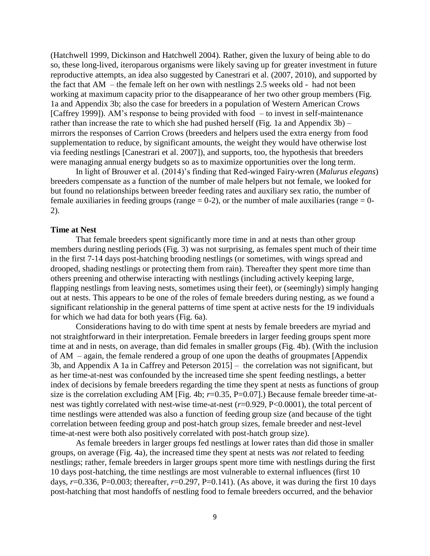(Hatchwell 1999, Dickinson and Hatchwell 2004). Rather, given the luxury of being able to do so, these long-lived, iteroparous organisms were likely saving up for greater investment in future reproductive attempts, an idea also suggested by Canestrari et al. (2007, 2010), and supported by the fact that AM – the female left on her own with nestlings 2.5 weeks old - had not been working at maximum capacity prior to the disappearance of her two other group members (Fig. 1a and Appendix 3b; also the case for breeders in a population of Western American Crows [Caffrey 1999]). AM's response to being provided with food – to invest in self-maintenance rather than increase the rate to which she had pushed herself (Fig. 1a and Appendix 3b) – mirrors the responses of Carrion Crows (breeders and helpers used the extra energy from food supplementation to reduce, by significant amounts, the weight they would have otherwise lost via feeding nestlings [Canestrari et al. 2007]), and supports, too, the hypothesis that breeders were managing annual energy budgets so as to maximize opportunities over the long term.

In light of Brouwer et al. (2014)'s finding that Red-winged Fairy-wren (*Malurus elegans*) breeders compensate as a function of the number of male helpers but not female, we looked for but found no relationships between breeder feeding rates and auxiliary sex ratio, the number of female auxiliaries in feeding groups (range  $= 0-2$ ), or the number of male auxiliaries (range  $= 0-$ 2).

### **Time at Nest**

That female breeders spent significantly more time in and at nests than other group members during nestling periods (Fig. 3) was not surprising, as females spent much of their time in the first 7-14 days post-hatching brooding nestlings (or sometimes, with wings spread and drooped, shading nestlings or protecting them from rain). Thereafter they spent more time than others preening and otherwise interacting with nestlings (including actively keeping large, flapping nestlings from leaving nests, sometimes using their feet), or (seemingly) simply hanging out at nests. This appears to be one of the roles of female breeders during nesting, as we found a significant relationship in the general patterns of time spent at active nests for the 19 individuals for which we had data for both years (Fig. 6a).

Considerations having to do with time spent at nests by female breeders are myriad and not straightforward in their interpretation. Female breeders in larger feeding groups spent more time at and in nests, on average, than did females in smaller groups (Fig. 4b). (With the inclusion of AM – again, the female rendered a group of one upon the deaths of groupmates [Appendix 3b, and Appendix A 1a in Caffrey and Peterson 2015] – the correlation was not significant, but as her time-at-nest was confounded by the increased time she spent feeding nestlings, a better index of decisions by female breeders regarding the time they spent at nests as functions of group size is the correlation excluding AM [Fig. 4b;  $r=0.35$ , P $=0.07$ ].) Because female breeder time-atnest was tightly correlated with nest-wise time-at-nest (*r*=0.929, P<0.0001), the total percent of time nestlings were attended was also a function of feeding group size (and because of the tight correlation between feeding group and post-hatch group sizes, female breeder and nest-level time-at-nest were both also positively correlated with post-hatch group size).

As female breeders in larger groups fed nestlings at lower rates than did those in smaller groups, on average (Fig. 4a), the increased time they spent at nests was *not* related to feeding nestlings; rather, female breeders in larger groups spent more time with nestlings during the first 10 days post-hatching, the time nestlings are most vulnerable to external influences (first 10 days, *r*=0.336, P=0.003; thereafter, *r*=0.297, P=0.141). (As above, it was during the first 10 days post-hatching that most handoffs of nestling food to female breeders occurred, and the behavior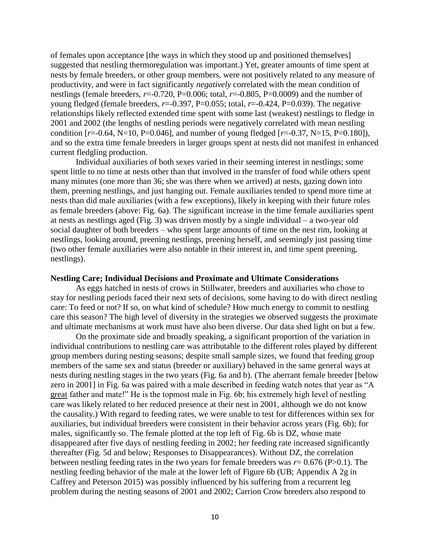of females upon acceptance [the ways in which they stood up and positioned themselves] suggested that nestling thermoregulation was important.) Yet, greater amounts of time spent at nests by female breeders, or other group members, were not positively related to any measure of productivity, and were in fact significantly *negatively* correlated with the mean condition of nestlings (female breeders,  $r=-0.720$ , P=0.006; total,  $r=-0.805$ , P=0.0009) and the number of young fledged (female breeders, *r*=-0.397, P=0.055; total, *r*=-0.424, P=0.039). The negative relationships likely reflected extended time spent with some last (weakest) nestlings to fledge in 2001 and 2002 (the lengths of nestling periods were negatively correlated with mean nestling condition  $[r=0.64, N=10, P=0.046]$ , and number of young fledged  $[r=0.37, N=15, P=0.180]$ ), and so the extra time female breeders in larger groups spent at nests did not manifest in enhanced current fledgling production.

Individual auxiliaries of both sexes varied in their seeming interest in nestlings; some spent little to no time at nests other than that involved in the transfer of food while others spent many minutes (one more than 36; she was there when we arrived) at nests, gazing down into them, preening nestlings, and just hanging out. Female auxiliaries tended to spend more time at nests than did male auxiliaries (with a few exceptions), likely in keeping with their future roles as female breeders (above: Fig. 6a). The significant increase in the time female auxiliaries spent at nests as nestlings aged (Fig. 3) was driven mostly by a single individual – a two-year old social daughter of both breeders – who spent large amounts of time on the nest rim, looking at nestlings, looking around, preening nestlings, preening herself, and seemingly just passing time (two other female auxiliaries were also notable in their interest in, and time spent preening, nestlings).

#### **Nestling Care; Individual Decisions and Proximate and Ultimate Considerations**

As eggs hatched in nests of crows in Stillwater, breeders and auxiliaries who chose to stay for nestling periods faced their next sets of decisions, some having to do with direct nestling care: To feed or not? If so, on what kind of schedule? How much energy to commit to nestling care this season? The high level of diversity in the strategies we observed suggests the proximate and ultimate mechanisms at work must have also been diverse. Our data shed light on but a few.

On the proximate side and broadly speaking, a significant proportion of the variation in individual contributions to nestling care was attributable to the different roles played by different group members during nesting seasons; despite small sample sizes, we found that feeding group members of the same sex and status (breeder or auxiliary) behaved in the same general ways at nests during nestling stages in the two years (Fig. 6a and b). (The aberrant female breeder [below zero in 2001] in Fig. 6a was paired with a male described in feeding watch notes that year as "A great father and mate!" He is the topmost male in Fig. 6b; his extremely high level of nestling care was likely related to her reduced presence at their nest in 2001, although we do not know the causality.) With regard to feeding rates, we were unable to test for differences within sex for auxiliaries, but individual breeders were consistent in their behavior across years (Fig. 6b); for males, significantly so. The female plotted at the top left of Fig. 6b is DZ, whose mate disappeared after five days of nestling feeding in 2002; her feeding rate increased significantly thereafter (Fig. 5d and below; Responses to Disappearances). Without DZ, the correlation between nestling feeding rates in the two years for female breeders was  $r = 0.676$  (P $> 0.1$ ). The nestling feeding behavior of the male at the lower left of Figure 6b (UB; Appendix A 2g in Caffrey and Peterson 2015) was possibly influenced by his suffering from a recurrent leg problem during the nesting seasons of 2001 and 2002; Carrion Crow breeders also respond to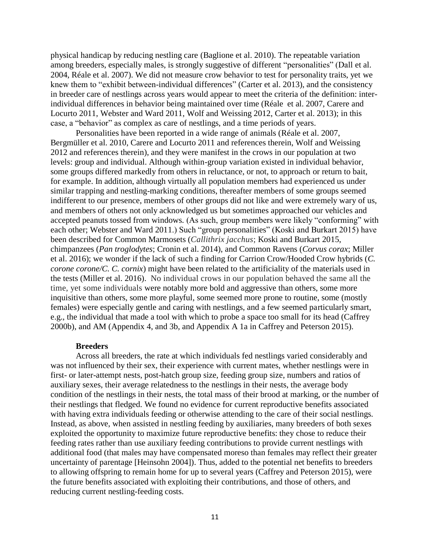physical handicap by reducing nestling care (Baglione et al. 2010). The repeatable variation among breeders, especially males, is strongly suggestive of different "personalities" (Dall et al. 2004, Réale et al. 2007). We did not measure crow behavior to test for personality traits, yet we knew them to "exhibit between-individual differences" (Carter et al. 2013), and the consistency in breeder care of nestlings across years would appear to meet the criteria of the definition: interindividual differences in behavior being maintained over time (Réale et al. 2007, Carere and Locurto 2011, Webster and Ward 2011, Wolf and Weissing 2012, Carter et al. 2013); in this case, a "behavior" as complex as care of nestlings, and a time periods of years.

Personalities have been reported in a wide range of animals (Réale et al. 2007, Bergmüller et al. 2010, Carere and Locurto 2011 and references therein, Wolf and Weissing 2012 and references therein), and they were manifest in the crows in our population at two levels: group and individual. Although within-group variation existed in individual behavior, some groups differed markedly from others in reluctance, or not, to approach or return to bait, for example. In addition, although virtually all population members had experienced us under similar trapping and nestling-marking conditions, thereafter members of some groups seemed indifferent to our presence, members of other groups did not like and were extremely wary of us, and members of others not only acknowledged us but sometimes approached our vehicles and accepted peanuts tossed from windows. (As such, group members were likely "conforming" with each other; Webster and Ward 2011.) Such "group personalities" (Koski and Burkart 2015) have been described for Common Marmosets (*Callithrix jacchus*; Koski and Burkart 2015, chimpanzees (*Pan troglodytes*; Cronin et al. 2014), and Common Ravens (*Corvus corax*; Miller et al. 2016); we wonder if the lack of such a finding for Carrion Crow/Hooded Crow hybrids (*C. corone corone/C. C. cornix*) might have been related to the artificiality of the materials used in the tests (Miller et al. 2016). No individual crows in our population behaved the same all the time, yet some individuals were notably more bold and aggressive than others, some more inquisitive than others, some more playful, some seemed more prone to routine, some (mostly females) were especially gentle and caring with nestlings, and a few seemed particularly smart, e.g., the individual that made a tool with which to probe a space too small for its head (Caffrey 2000b), and AM (Appendix 4, and 3b, and Appendix A 1a in Caffrey and Peterson 2015).

### **Breeders**

Across all breeders, the rate at which individuals fed nestlings varied considerably and was not influenced by their sex, their experience with current mates, whether nestlings were in first- or later-attempt nests, post-hatch group size, feeding group size, numbers and ratios of auxiliary sexes, their average relatedness to the nestlings in their nests, the average body condition of the nestlings in their nests, the total mass of their brood at marking, or the number of their nestlings that fledged. We found no evidence for current reproductive benefits associated with having extra individuals feeding or otherwise attending to the care of their social nestlings. Instead, as above, when assisted in nestling feeding by auxiliaries, many breeders of both sexes exploited the opportunity to maximize future reproductive benefits: they chose to reduce their feeding rates rather than use auxiliary feeding contributions to provide current nestlings with additional food (that males may have compensated moreso than females may reflect their greater uncertainty of parentage [Heinsohn 2004]). Thus, added to the potential net benefits to breeders to allowing offspring to remain home for up to several years (Caffrey and Peterson 2015), were the future benefits associated with exploiting their contributions, and those of others, and reducing current nestling-feeding costs.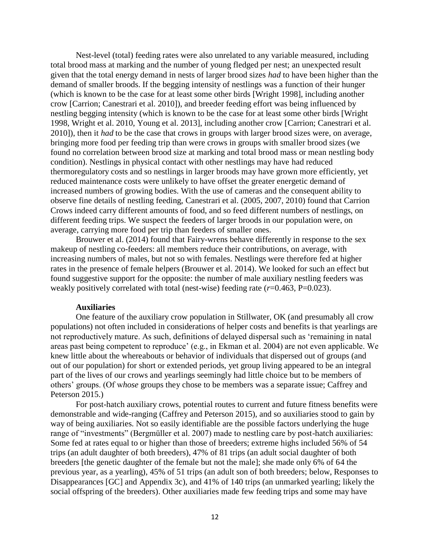Nest-level (total) feeding rates were also unrelated to any variable measured, including total brood mass at marking and the number of young fledged per nest; an unexpected result given that the total energy demand in nests of larger brood sizes *had* to have been higher than the demand of smaller broods. If the begging intensity of nestlings was a function of their hunger (which is known to be the case for at least some other birds [Wright 1998], including another crow [Carrion; Canestrari et al. 2010]), and breeder feeding effort was being influenced by nestling begging intensity (which is known to be the case for at least some other birds [Wright 1998, Wright et al. 2010, Young et al. 2013], including another crow [Carrion; Canestrari et al. 2010]), then it *had* to be the case that crows in groups with larger brood sizes were, on average, bringing more food per feeding trip than were crows in groups with smaller brood sizes (we found no correlation between brood size at marking and total brood mass or mean nestling body condition). Nestlings in physical contact with other nestlings may have had reduced thermoregulatory costs and so nestlings in larger broods may have grown more efficiently, yet reduced maintenance costs were unlikely to have offset the greater energetic demand of increased numbers of growing bodies. With the use of cameras and the consequent ability to observe fine details of nestling feeding, Canestrari et al. (2005, 2007, 2010) found that Carrion Crows indeed carry different amounts of food, and so feed different numbers of nestlings, on different feeding trips. We suspect the feeders of larger broods in our population were, on average, carrying more food per trip than feeders of smaller ones.

Brouwer et al. (2014) found that Fairy-wrens behave differently in response to the sex makeup of nestling co-feeders: all members reduce their contributions, on average, with increasing numbers of males, but not so with females. Nestlings were therefore fed at higher rates in the presence of female helpers (Brouwer et al. 2014). We looked for such an effect but found suggestive support for the opposite: the number of male auxiliary nestling feeders was weakly positively correlated with total (nest-wise) feeding rate ( $r=0.463$ , P=0.023).

### **Auxiliaries**

One feature of the auxiliary crow population in Stillwater, OK (and presumably all crow populations) not often included in considerations of helper costs and benefits is that yearlings are not reproductively mature. As such, definitions of delayed dispersal such as 'remaining in natal areas past being competent to reproduce' (e.g., in Ekman et al. 2004) are not even applicable. We knew little about the whereabouts or behavior of individuals that dispersed out of groups (and out of our population) for short or extended periods, yet group living appeared to be an integral part of the lives of our crows and yearlings seemingly had little choice but to be members of others' groups. (Of w*hose* groups they chose to be members was a separate issue; Caffrey and Peterson 2015.)

For post-hatch auxiliary crows, potential routes to current and future fitness benefits were demonstrable and wide-ranging (Caffrey and Peterson 2015), and so auxiliaries stood to gain by way of being auxiliaries. Not so easily identifiable are the possible factors underlying the huge range of "investments" (Bergmüller et al. 2007) made to nestling care by post-hatch auxiliaries: Some fed at rates equal to or higher than those of breeders; extreme highs included 56% of 54 trips (an adult daughter of both breeders), 47% of 81 trips (an adult social daughter of both breeders [the genetic daughter of the female but not the male]; she made only 6% of 64 the previous year, as a yearling), 45% of 51 trips (an adult son of both breeders; below, Responses to Disappearances [GC] and Appendix 3c), and 41% of 140 trips (an unmarked yearling; likely the social offspring of the breeders). Other auxiliaries made few feeding trips and some may have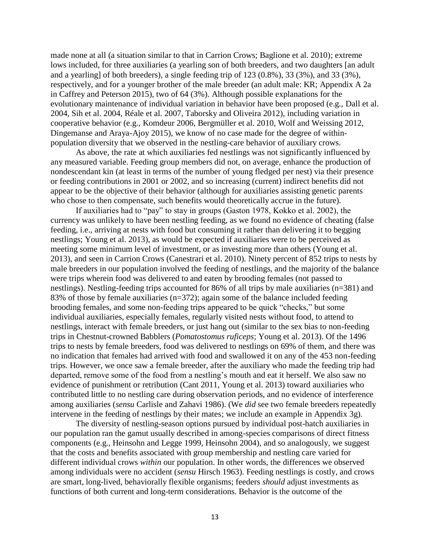made none at all (a situation similar to that in Carrion Crows; Baglione et al. 2010); extreme lows included, for three auxiliaries (a yearling son of both breeders, and two daughters [an adult and a yearling] of both breeders), a single feeding trip of 123 (0.8%), 33 (3%), and 33 (3%), respectively, and for a younger brother of the male breeder (an adult male: KR; Appendix A 2a in Caffrey and Peterson 2015), two of 64 (3%). Although possible explanations for the evolutionary maintenance of individual variation in behavior have been proposed (e.g., Dall et al. 2004, Sih et al. 2004, Réale et al. 2007, Taborsky and Oliveira 2012), including variation in cooperative behavior (e.g., Komdeur 2006, Bergmüller et al. 2010, Wolf and Weissing 2012, Dingemanse and Araya-Ajoy 2015), we know of no case made for the degree of withinpopulation diversity that we observed in the nestling-care behavior of auxiliary crows.

As above, the rate at which auxiliaries fed nestlings was not significantly influenced by any measured variable. Feeding group members did not, on average, enhance the production of nondescendant kin (at least in terms of the number of young fledged per nest) via their presence or feeding contributions in 2001 or 2002, and so increasing (current) indirect benefits did not appear to be the objective of their behavior (although for auxiliaries assisting genetic parents who chose to then compensate, such benefits would theoretically accrue in the future).

If auxiliaries had to "pay" to stay in groups (Gaston 1978, Kokko et al. 2002), the currency was unlikely to have been nestling feeding, as we found no evidence of cheating (false feeding, i.e., arriving at nests with food but consuming it rather than delivering it to begging nestlings; Young et al. 2013), as would be expected if auxiliaries were to be perceived as meeting some minimum level of investment, or as investing more than others (Young et al. 2013), and seen in Carrion Crows (Canestrari et al. 2010). Ninety percent of 852 trips to nests by male breeders in our population involved the feeding of nestlings, and the majority of the balance were trips wherein food was delivered to and eaten by brooding females (not passed to nestlings). Nestling-feeding trips accounted for 86% of all trips by male auxiliaries (n=381) and 83% of those by female auxiliaries (n=372); again some of the balance included feeding brooding females, and some non-feeding trips appeared to be quick "checks," but some individual auxiliaries, especially females, regularly visited nests without food, to attend to nestlings, interact with female breeders, or just hang out (similar to the sex bias to non-feeding trips in Chestnut-crowned Babblers (*Pomatostomus ruficeps*; Young et al. 2013). Of the 1496 trips to nests by female breeders, food was delivered to nestlings on 69% of them, and there was no indication that females had arrived with food and swallowed it on any of the 453 non-feeding trips. However, we once saw a female breeder, after the auxiliary who made the feeding trip had departed, remove some of the food from a nestling's mouth and eat it herself. We also saw no evidence of punishment or retribution (Cant 2011, Young et al. 2013) toward auxiliaries who contributed little to no nestling care during observation periods, and no evidence of interference among auxiliaries (*sensu* Carlisle and Zahavi 1986). (We *did* see two female breeders repeatedly intervene in the feeding of nestlings by their mates; we include an example in Appendix 3g).

The diversity of nestling-season options pursued by individual post-hatch auxiliaries in our population ran the gamut usually described in among-species comparisons of direct fitness components (e.g., Heinsohn and Legge 1999, Heinsohn 2004), and so analogously, we suggest that the costs and benefits associated with group membership and nestling care varied for different individual crows *within* our population. In other words, the differences we observed among individuals were no accident (*sensu* Hirsch 1963). Feeding nestlings is costly, and crows are smart, long-lived, behaviorally flexible organisms; feeders *should* adjust investments as functions of both current and long-term considerations. Behavior is the outcome of the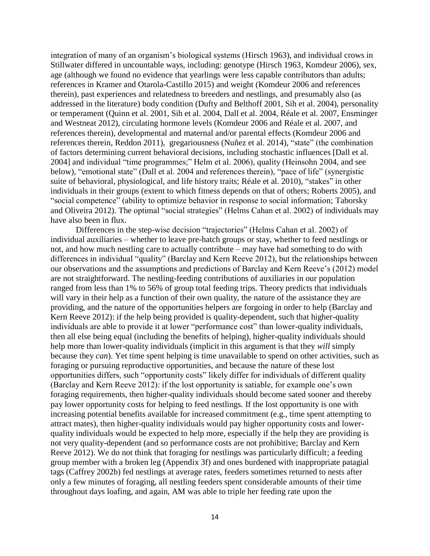integration of many of an organism's biological systems (Hirsch 1963), and individual crows in Stillwater differed in uncountable ways, including: genotype (Hirsch 1963, Komdeur 2006), sex, age (although we found no evidence that yearlings were less capable contributors than adults; references in Kramer and Otarola-Castillo 2015) and weight (Komdeur 2006 and references therein), past experiences and relatedness to breeders and nestlings, and presumably also (as addressed in the literature) body condition (Dufty and Belthoff 2001, Sih et al. 2004), personality or temperament (Quinn et al. 2001, Sih et al. 2004, Dall et al. 2004, Réale et al. 2007, Ensminger and Westneat 2012), circulating hormone levels (Komdeur 2006 and Réale et al. 2007, and references therein), developmental and maternal and/or parental effects (Komdeur 2006 and references therein, Reddon 2011), gregariousness (Nuñez et al. 2014), "state" (the combination of factors determining current behavioral decisions, including stochastic influences [Dall et al. 2004] and individual "time programmes;" Helm et al. 2006), quality (Heinsohn 2004, and see below), "emotional state" (Dall et al. 2004 and references therein), "pace of life" (synergistic suite of behavioral, physiological, and life history traits; Réale et al. 2010), "stakes" in other individuals in their groups (extent to which fitness depends on that of others; Roberts 2005), and "social competence" (ability to optimize behavior in response to social information; Taborsky and Oliveira 2012). The optimal "social strategies" (Helms Cahan et al. 2002) of individuals may have also been in flux.

Differences in the step-wise decision "trajectories" (Helms Cahan et al. 2002) of individual auxiliaries – whether to leave pre-hatch groups or stay, whether to feed nestlings or not, and how much nestling care to actually contribute – may have had something to do with differences in individual "quality" (Barclay and Kern Reeve 2012), but the relationships between our observations and the assumptions and predictions of Barclay and Kern Reeve's (2012) model are not straightforward. The nestling-feeding contributions of auxiliaries in our population ranged from less than 1% to 56% of group total feeding trips. Theory predicts that individuals will vary in their help as a function of their own quality, the nature of the assistance they are providing, and the nature of the opportunities helpers are forgoing in order to help (Barclay and Kern Reeve 2012): if the help being provided is quality-dependent, such that higher-quality individuals are able to provide it at lower "performance cost" than lower-quality individuals, then all else being equal (including the benefits of helping), higher-quality individuals should help more than lower-quality individuals (implicit in this argument is that they *will* simply because they *can*). Yet time spent helping is time unavailable to spend on other activities, such as foraging or pursuing reproductive opportunities, and because the nature of these lost opportunities differs, such "opportunity costs" likely differ for individuals of different quality (Barclay and Kern Reeve 2012): if the lost opportunity is satiable, for example one's own foraging requirements, then higher-quality individuals should become sated sooner and thereby pay lower opportunity costs for helping to feed nestlings. If the lost opportunity is one with increasing potential benefits available for increased commitment (e.g., time spent attempting to attract mates), then higher-quality individuals would pay higher opportunity costs and lowerquality individuals would be expected to help more, especially if the help they are providing is not very quality-dependent (and so performance costs are not prohibitive; Barclay and Kern Reeve 2012). We do not think that foraging for nestlings was particularly difficult; a feeding group member with a broken leg (Appendix 3f) and ones burdened with inappropriate patagial tags (Caffrey 2002b) fed nestlings at average rates, feeders sometimes returned to nests after only a few minutes of foraging, all nestling feeders spent considerable amounts of their time throughout days loafing, and again, AM was able to triple her feeding rate upon the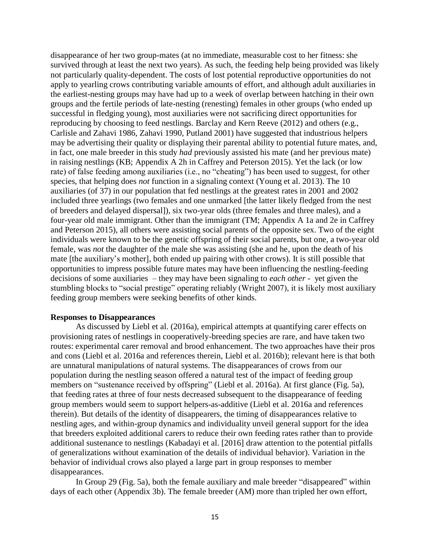disappearance of her two group-mates (at no immediate, measurable cost to her fitness: she survived through at least the next two years). As such, the feeding help being provided was likely not particularly quality-dependent. The costs of lost potential reproductive opportunities do not apply to yearling crows contributing variable amounts of effort, and although adult auxiliaries in the earliest-nesting groups may have had up to a week of overlap between hatching in their own groups and the fertile periods of late-nesting (renesting) females in other groups (who ended up successful in fledging young), most auxiliaries were not sacrificing direct opportunities for reproducing by choosing to feed nestlings. Barclay and Kern Reeve (2012) and others (e.g., Carlisle and Zahavi 1986, Zahavi 1990, Putland 2001) have suggested that industrious helpers may be advertising their quality or displaying their parental ability to potential future mates, and, in fact, one male breeder in this study *had* previously assisted his mate (and her previous mate) in raising nestlings (KB; Appendix A 2h in Caffrey and Peterson 2015). Yet the lack (or low rate) of false feeding among auxiliaries (i.e., no "cheating") has been used to suggest, for other species, that helping does *not* function in a signaling context (Young et al. 2013). The 10 auxiliaries (of 37) in our population that fed nestlings at the greatest rates in 2001 and 2002 included three yearlings (two females and one unmarked [the latter likely fledged from the nest of breeders and delayed dispersal]), six two-year olds (three females and three males), and a four-year old male immigrant. Other than the immigrant (TM; Appendix A 1a and 2e in Caffrey and Peterson 2015), all others were assisting social parents of the opposite sex. Two of the eight individuals were known to be the genetic offspring of their social parents, but one, a two-year old female, was *not* the daughter of the male she was assisting (she and he, upon the death of his mate [the auxiliary's mother], both ended up pairing with other crows). It is still possible that opportunities to impress possible future mates may have been influencing the nestling-feeding decisions of some auxiliaries – they may have been signaling to *each other* - yet given the stumbling blocks to "social prestige" operating reliably (Wright 2007), it is likely most auxiliary feeding group members were seeking benefits of other kinds.

# **Responses to Disappearances**

As discussed by Liebl et al. (2016a), empirical attempts at quantifying carer effects on provisioning rates of nestlings in cooperatively-breeding species are rare, and have taken two routes: experimental carer removal and brood enhancement. The two approaches have their pros and cons (Liebl et al. 2016a and references therein, Liebl et al. 2016b); relevant here is that both are unnatural manipulations of natural systems. The disappearances of crows from our population during the nestling season offered a natural test of the impact of feeding group members on "sustenance received by offspring" (Liebl et al. 2016a). At first glance (Fig. 5a), that feeding rates at three of four nests decreased subsequent to the disappearance of feeding group members would seem to support helpers-as-additive (Liebl et al. 2016a and references therein). But details of the identity of disappearers, the timing of disappearances relative to nestling ages, and within-group dynamics and individuality unveil general support for the idea that breeders exploited additional carers to reduce their own feeding rates rather than to provide additional sustenance to nestlings (Kabadayi et al. [2016] draw attention to the potential pitfalls of generalizations without examination of the details of individual behavior). Variation in the behavior of individual crows also played a large part in group responses to member disappearances.

In Group 29 (Fig. 5a), both the female auxiliary and male breeder "disappeared" within days of each other (Appendix 3b). The female breeder (AM) more than tripled her own effort,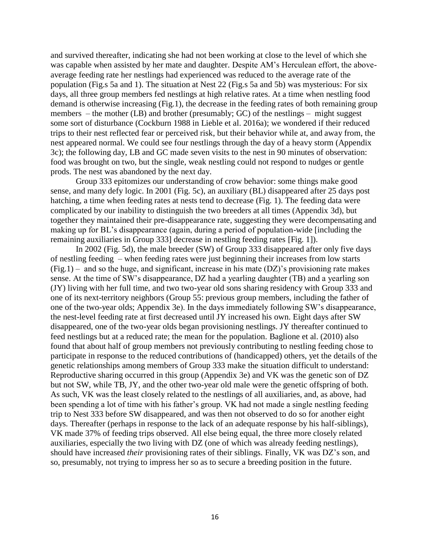and survived thereafter, indicating she had not been working at close to the level of which she was capable when assisted by her mate and daughter. Despite AM's Herculean effort, the aboveaverage feeding rate her nestlings had experienced was reduced to the average rate of the population (Fig.s 5a and 1). The situation at Nest 22 (Fig.s 5a and 5b) was mysterious: For six days, all three group members fed nestlings at high relative rates. At a time when nestling food demand is otherwise increasing (Fig.1), the decrease in the feeding rates of both remaining group members – the mother (LB) and brother (presumably; GC) of the nestlings – might suggest some sort of disturbance (Cockburn 1988 in Lieble et al. 2016a); we wondered if their reduced trips to their nest reflected fear or perceived risk, but their behavior while at, and away from, the nest appeared normal. We could see four nestlings through the day of a heavy storm (Appendix 3c); the following day, LB and GC made seven visits to the nest in 90 minutes of observation: food was brought on two, but the single, weak nestling could not respond to nudges or gentle prods. The nest was abandoned by the next day.

Group 333 epitomizes our understanding of crow behavior: some things make good sense, and many defy logic. In 2001 (Fig. 5c), an auxiliary (BL) disappeared after 25 days post hatching, a time when feeding rates at nests tend to decrease (Fig. 1). The feeding data were complicated by our inability to distinguish the two breeders at all times (Appendix 3d), but together they maintained their pre-disappearance rate, suggesting they were decompensating and making up for BL's disappearance (again, during a period of population-wide [including the remaining auxiliaries in Group 333] decrease in nestling feeding rates [Fig. 1]).

In 2002 (Fig. 5d), the male breeder (SW) of Group 333 disappeared after only five days of nestling feeding – when feeding rates were just beginning their increases from low starts  $(Fig.1)$  – and so the huge, and significant, increase in his mate  $(DZ)$ 's provisioning rate makes sense. At the time of SW's disappearance, DZ had a yearling daughter (TB) and a yearling son (JY) living with her full time, and two two-year old sons sharing residency with Group 333 and one of its next-territory neighbors (Group 55: previous group members, including the father of one of the two-year olds; Appendix 3e). In the days immediately following SW's disappearance, the nest-level feeding rate at first decreased until JY increased his own. Eight days after SW disappeared, one of the two-year olds began provisioning nestlings. JY thereafter continued to feed nestlings but at a reduced rate; the mean for the population. Baglione et al. (2010) also found that about half of group members not previously contributing to nestling feeding chose to participate in response to the reduced contributions of (handicapped) others, yet the details of the genetic relationships among members of Group 333 make the situation difficult to understand: Reproductive sharing occurred in this group (Appendix 3e) and VK was the genetic son of DZ but not SW, while TB, JY, and the other two-year old male were the genetic offspring of both. As such, VK was the least closely related to the nestlings of all auxiliaries, and, as above, had been spending a lot of time with his father's group. VK had not made a single nestling feeding trip to Nest 333 before SW disappeared, and was then not observed to do so for another eight days. Thereafter (perhaps in response to the lack of an adequate response by his half-siblings), VK made 37% of feeding trips observed. All else being equal, the three more closely related auxiliaries, especially the two living with DZ (one of which was already feeding nestlings), should have increased *their* provisioning rates of their siblings. Finally, VK was DZ's son, and so, presumably, not trying to impress her so as to secure a breeding position in the future.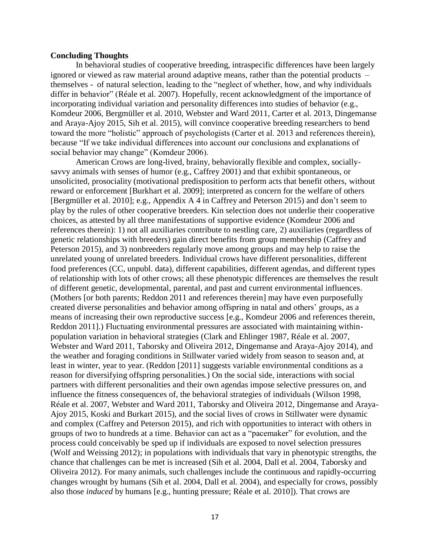### **Concluding Thoughts**

In behavioral studies of cooperative breeding, intraspecific differences have been largely ignored or viewed as raw material around adaptive means, rather than the potential products – themselves - of natural selection, leading to the "neglect of whether, how, and why individuals differ in behavior" (Réale et al. 2007). Hopefully, recent acknowledgment of the importance of incorporating individual variation and personality differences into studies of behavior (e.g., Komdeur 2006, Bergmüller et al. 2010, Webster and Ward 2011, Carter et al. 2013, Dingemanse and Araya-Ajoy 2015, Sih et al. 2015), will convince cooperative breeding researchers to bend toward the more "holistic" approach of psychologists (Carter et al. 2013 and references therein), because "If we take individual differences into account our conclusions and explanations of social behavior may change" (Komdeur 2006).

American Crows are long-lived, brainy, behaviorally flexible and complex, sociallysavvy animals with senses of humor (e.g., Caffrey 2001) and that exhibit spontaneous, or unsolicited, prosociality (motivational predisposition to perform acts that benefit others, without reward or enforcement [Burkhart et al. 2009]; interpreted as concern for the welfare of others [Bergmüller et al. 2010]; e.g., Appendix A 4 in Caffrey and Peterson 2015) and don't seem to play by the rules of other cooperative breeders. Kin selection does not underlie their cooperative choices, as attested by all three manifestations of supportive evidence (Komdeur 2006 and references therein): 1) not all auxiliaries contribute to nestling care, 2) auxiliaries (regardless of genetic relationships with breeders) gain direct benefits from group membership (Caffrey and Peterson 2015), and 3) nonbreeders regularly move among groups and may help to raise the unrelated young of unrelated breeders. Individual crows have different personalities, different food preferences (CC, unpubl. data), different capabilities, different agendas, and different types of relationship with lots of other crows; all these phenotypic differences are themselves the result of different genetic, developmental, parental, and past and current environmental influences. (Mothers [or both parents; Reddon 2011 and references therein] may have even purposefully created diverse personalities and behavior among offspring in natal and others' groups, as a means of increasing their own reproductive success [e.g., Komdeur 2006 and references therein, Reddon 2011].) Fluctuating environmental pressures are associated with maintaining withinpopulation variation in behavioral strategies (Clark and Ehlinger 1987, Réale et al. 2007, Webster and Ward 2011, Taborsky and Oliveira 2012, Dingemanse and Araya-Ajoy 2014), and the weather and foraging conditions in Stillwater varied widely from season to season and, at least in winter, year to year. (Reddon [2011] suggests variable environmental conditions as a reason for diversifying offspring personalities.) On the social side, interactions with social partners with different personalities and their own agendas impose selective pressures on, and influence the fitness consequences of, the behavioral strategies of individuals (Wilson 1998, Réale et al. 2007, Webster and Ward 2011, Taborsky and Oliveira 2012, Dingemanse and Araya-Ajoy 2015, Koski and Burkart 2015), and the social lives of crows in Stillwater were dynamic and complex (Caffrey and Peterson 2015), and rich with opportunities to interact with others in groups of two to hundreds at a time. Behavior can act as a "pacemaker" for evolution, and the process could conceivably be sped up if individuals are exposed to novel selection pressures (Wolf and Weissing 2012); in populations with individuals that vary in phenotypic strengths, the chance that challenges can be met is increased (Sih et al. 2004, Dall et al. 2004, Taborsky and Oliveira 2012). For many animals, such challenges include the continuous and rapidly-occurring changes wrought by humans (Sih et al. 2004, Dall et al. 2004), and especially for crows, possibly also those *induced* by humans [e.g., hunting pressure; Réale et al. 2010]). That crows are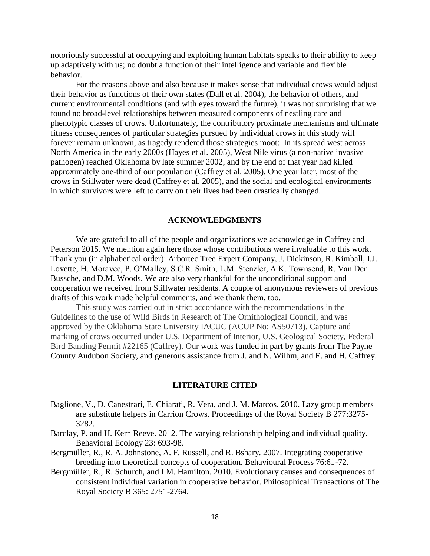notoriously successful at occupying and exploiting human habitats speaks to their ability to keep up adaptively with us; no doubt a function of their intelligence and variable and flexible behavior.

For the reasons above and also because it makes sense that individual crows would adjust their behavior as functions of their own states (Dall et al. 2004), the behavior of others, and current environmental conditions (and with eyes toward the future), it was not surprising that we found no broad-level relationships between measured components of nestling care and phenotypic classes of crows. Unfortunately, the contributory proximate mechanisms and ultimate fitness consequences of particular strategies pursued by individual crows in this study will forever remain unknown, as tragedy rendered those strategies moot: In its spread west across North America in the early 2000s (Hayes et al. 2005), West Nile virus (a non-native invasive pathogen) reached Oklahoma by late summer 2002, and by the end of that year had killed approximately one-third of our population (Caffrey et al. 2005). One year later, most of the crows in Stillwater were dead (Caffrey et al. 2005), and the social and ecological environments in which survivors were left to carry on their lives had been drastically changed.

### **ACKNOWLEDGMENTS**

We are grateful to all of the people and organizations we acknowledge in Caffrey and Peterson 2015. We mention again here those whose contributions were invaluable to this work. Thank you (in alphabetical order): Arbortec Tree Expert Company, J. Dickinson, R. Kimball, I.J. Lovette, H. Moravec, P. O'Malley, S.C.R. Smith, L.M. Stenzler, A.K. Townsend, R. Van Den Bussche, and D.M. Woods. We are also very thankful for the unconditional support and cooperation we received from Stillwater residents. A couple of anonymous reviewers of previous drafts of this work made helpful comments, and we thank them, too.

This study was carried out in strict accordance with the recommendations in the Guidelines to the use of Wild Birds in Research of The Ornithological Council, and was approved by the Oklahoma State University IACUC (ACUP No: AS50713). Capture and marking of crows occurred under U.S. Department of Interior, U.S. Geological Society, Federal Bird Banding Permit #22165 (Caffrey). Our work was funded in part by grants from The Payne County Audubon Society, and generous assistance from J. and N. Wilhm, and E. and H. Caffrey.

# **LITERATURE CITED**

- Baglione, V., D. Canestrari, E. Chiarati, R. Vera, and J. M. Marcos. 2010. Lazy group members are substitute helpers in Carrion Crows. Proceedings of the Royal Society B 277:3275- 3282.
- Barclay, P. and H. Kern Reeve. 2012. The varying relationship helping and individual quality. Behavioral Ecology 23: 693-98.
- Bergmüller, R., R. A. Johnstone, A. F. Russell, and R. Bshary. 2007. Integrating cooperative breeding into theoretical concepts of cooperation. Behavioural Process 76:61-72.
- Bergmüller, R., R. Schurch, and I.M. Hamilton. 2010. Evolutionary causes and consequences of consistent individual variation in cooperative behavior. Philosophical Transactions of The Royal Society B 365: 2751-2764.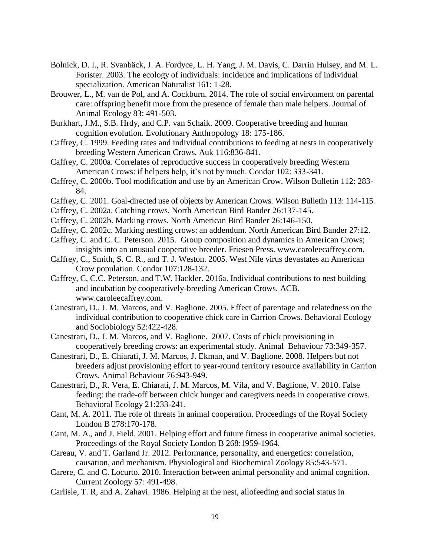- Bolnick, D. I., R. Svanbäck, J. A. Fordyce, L. H. Yang, J. M. Davis, C. Darrin Hulsey, and M. L. Forister. 2003. The ecology of individuals: incidence and implications of individual specialization. American Naturalist 161: 1-28.
- Brouwer, L., M. van de Pol, and A. Cockburn. 2014. The role of social environment on parental care: offspring benefit more from the presence of female than male helpers. Journal of Animal Ecology 83: 491-503.
- Burkhart, J.M., S.B. Hrdy, and C.P. van Schaik. 2009. Cooperative breeding and human cognition evolution. Evolutionary Anthropology 18: 175-186.
- Caffrey, C. 1999. Feeding rates and individual contributions to feeding at nests in cooperatively breeding Western American Crows. Auk 116:836-841.
- Caffrey, C. 2000a. Correlates of reproductive success in cooperatively breeding Western American Crows: if helpers help, it's not by much. Condor 102: 333-341.
- Caffrey, C. 2000b. Tool modification and use by an American Crow. Wilson Bulletin 112: 283- 84.
- Caffrey, C. 2001. Goal-directed use of objects by American Crows. Wilson Bulletin 113: 114-115.
- Caffrey, C. 2002a. Catching crows. North American Bird Bander 26:137-145.
- Caffrey, C. 2002b. Marking crows. North American Bird Bander 26:146-150.
- Caffrey, C. 2002c. Marking nestling crows: an addendum. North American Bird Bander 27:12.
- Caffrey, C. and C. C. Peterson. 2015. Group composition and dynamics in American Crows; insights into an unusual cooperative breeder. Friesen Press. www.caroleecaffrey.com.
- Caffrey, C., Smith, S. C. R., and T. J. Weston. 2005. West Nile virus devastates an American Crow population. Condor 107:128-132.
- Caffrey, C, C.C. Peterson, and T.W. Hackler. 2016a. Individual contributions to nest building and incubation by cooperatively-breeding American Crows. ACB. www.caroleecaffrey.com.
- Canestrari, D., J. M. Marcos, and V. Baglione. 2005. Effect of parentage and relatedness on the individual contribution to cooperative chick care in Carrion Crows. Behavioral Ecology and Sociobiology 52:422-428.
- Canestrari, D., J. M. Marcos, and V. Baglione. 2007. Costs of chick provisioning in cooperatively breeding crows: an experimental study. Animal Behaviour 73:349-357.
- Canestrari, D., E. Chiarati, J. M. Marcos, J. Ekman, and V. Baglione. 2008. Helpers but not breeders adjust provisioning effort to year-round territory resource availability in Carrion Crows. Animal Behaviour 76:943-949.
- Canestrari, D., R. Vera, E. Chiarati, J. M. Marcos, M. Vila, and V. Baglione, V. 2010. False feeding: the trade-off between chick hunger and caregivers needs in cooperative crows. Behavioral Ecology 21:233-241.
- Cant, M. A. 2011. The role of threats in animal cooperation. Proceedings of the Royal Society London B 278:170-178.
- Cant, M. A., and J. Field. 2001. Helping effort and future fitness in cooperative animal societies. Proceedings of the Royal Society London B 268:1959-1964.
- Careau, V. and T. Garland Jr. 2012. Performance, personality, and energetics: correlation, causation, and mechanism. Physiological and Biochemical Zoology 85:543-571.
- Carere, C. and C. Locurto. 2010. Interaction between animal personality and animal cognition. Current Zoology 57: 491-498.
- Carlisle, T. R, and A. Zahavi. 1986. Helping at the nest, allofeeding and social status in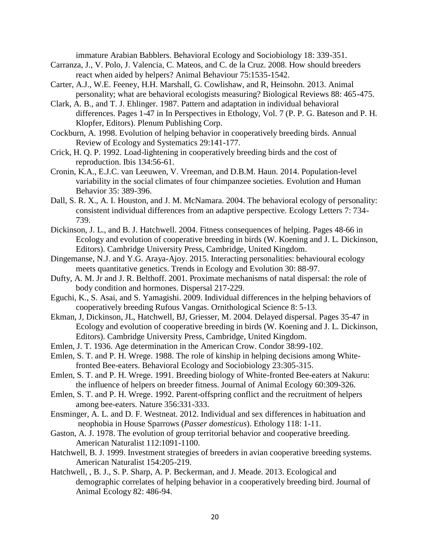immature Arabian Babblers. Behavioral Ecology and Sociobiology 18: 339-351.

- Carranza, J., V. Polo, J. Valencia, C. Mateos, and C. de la Cruz. 2008. How should breeders react when aided by helpers? Animal Behaviour 75:1535-1542.
- Carter, A.J., W.E. Feeney, H.H. Marshall, G. Cowlishaw, and R, Heinsohn. 2013. Animal personality; what are behavioral ecologists measuring? Biological Reviews 88: 465-475.
- Clark, A. B., and T. J. Ehlinger. 1987. Pattern and adaptation in individual behavioral differences. Pages 1-47 in In Perspectives in Ethology, Vol. 7 (P. P. G. Bateson and P. H. Klopfer, Editors). Plenum Publishing Corp.
- Cockburn, A. 1998. Evolution of helping behavior in cooperatively breeding birds. Annual Review of Ecology and Systematics 29:141-177.
- Crick, H. Q. P. 1992. Load-lightening in cooperatively breeding birds and the cost of reproduction. Ibis 134:56-61.
- Cronin, K.A., E.J.C. van Leeuwen, V. Vreeman, and D.B.M. Haun. 2014. Population-level variability in the social climates of four chimpanzee societies. Evolution and Human Behavior 35: 389-396.
- Dall, S. R. X., A. I. Houston, and J. M. McNamara. 2004. The behavioral ecology of personality: consistent individual differences from an adaptive perspective. Ecology Letters 7: 734- 739.
- Dickinson, J. L., and B. J. Hatchwell. 2004. Fitness consequences of helping. Pages 48-66 in Ecology and evolution of cooperative breeding in birds (W. Koening and J. L. Dickinson, Editors). Cambridge University Press, Cambridge, United Kingdom.
- Dingemanse, N.J. and Y.G. Araya-Ajoy. 2015. Interacting personalities: behavioural ecology meets quantitative genetics. Trends in Ecology and Evolution 30: 88-97.
- Dufty, A. M. Jr and J. R. Belthoff. 2001. Proximate mechanisms of natal dispersal: the role of body condition and hormones. Dispersal 217-229.
- Eguchi, K., S. Asai, and S. Yamagishi. 2009. Individual differences in the helping behaviors of cooperatively breeding Rufous Vangas. Ornithological Science 8: 5-13.
- Ekman, J, Dickinson, JL, Hatchwell, BJ, Griesser, M. 2004. Delayed dispersal. Pages 35-47 in Ecology and evolution of cooperative breeding in birds (W. Koening and J. L. Dickinson, Editors). Cambridge University Press, Cambridge, United Kingdom.
- Emlen, J. T. 1936. Age determination in the American Crow. Condor 38:99-102.
- Emlen, S. T. and P. H. Wrege. 1988. The role of kinship in helping decisions among Whitefronted Bee-eaters. Behavioral Ecology and Sociobiology 23:305-315.
- Emlen, S. T. and P. H. Wrege. 1991. Breeding biology of White-fronted Bee-eaters at Nakuru: the influence of helpers on breeder fitness. Journal of Animal Ecology 60:309-326.
- Emlen, S. T. and P. H. Wrege. 1992. Parent-offspring conflict and the recruitment of helpers among bee-eaters. Nature 356:331-333.
- Ensminger, A. L. and D. F. Westneat. 2012. Individual and sex differences in habituation and neophobia in House Sparrows (*Passer domesticus*). Ethology 118: 1-11.
- Gaston, A. J. 1978. The evolution of group territorial behavior and cooperative breeding. American Naturalist 112:1091-1100.
- Hatchwell, B. J. 1999. Investment strategies of breeders in avian cooperative breeding systems. American Naturalist 154:205-219.
- Hatchwell, , B. J., S. P. Sharp, A. P. Beckerman, and J. Meade. 2013. Ecological and demographic correlates of helping behavior in a cooperatively breeding bird. Journal of Animal Ecology 82: 486-94.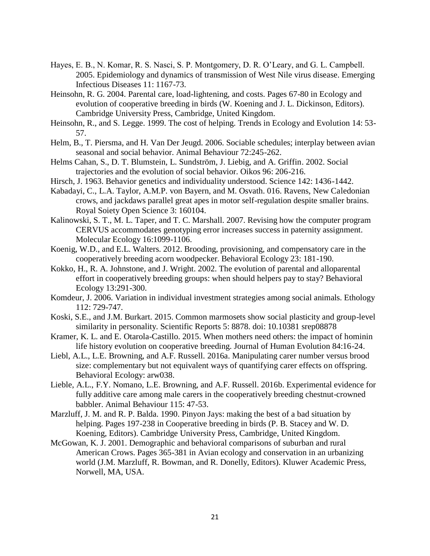- Hayes, E. B., N. Komar, R. S. Nasci, S. P. Montgomery, D. R. O'Leary, and G. L. Campbell. 2005. Epidemiology and dynamics of transmission of West Nile virus disease. Emerging Infectious Diseases 11: 1167-73.
- Heinsohn, R. G. 2004. Parental care, load-lightening, and costs. Pages 67-80 in Ecology and evolution of cooperative breeding in birds (W. Koening and J. L. Dickinson, Editors). Cambridge University Press, Cambridge, United Kingdom.
- Heinsohn, R., and S. Legge. 1999. The cost of helping. Trends in Ecology and Evolution 14: 53- 57.
- Helm, B., T. Piersma, and H. Van Der Jeugd. 2006. Sociable schedules; interplay between avian seasonal and social behavior. Animal Behaviour 72:245-262.
- Helms Cahan, S., D. T. Blumstein, L. Sundström, J. Liebig, and A. Griffin. 2002. Social trajectories and the evolution of social behavior. Oikos 96: 206-216.
- Hirsch, J. 1963. Behavior genetics and individuality understood. Science 142: 1436-1442.
- Kabadayi, C., L.A. Taylor, A.M.P. von Bayern, and M. Osvath. 016. Ravens, New Caledonian crows, and jackdaws parallel great apes in motor self-regulation despite smaller brains. Royal Soiety Open Science 3: 160104.
- Kalinowski, S. T., M. L. Taper, and T. C. Marshall. 2007. Revising how the computer program CERVUS accommodates genotyping error increases success in paternity assignment. Molecular Ecology 16:1099-1106.
- Koenig, W.D., and E.L. Walters. 2012. Brooding, provisioning, and compensatory care in the cooperatively breeding acorn woodpecker. Behavioral Ecology 23: 181-190.
- Kokko, H., R. A. Johnstone, and J. Wright. 2002. The evolution of parental and alloparental effort in cooperatively breeding groups: when should helpers pay to stay? Behavioral Ecology 13:291-300.
- Komdeur, J. 2006. Variation in individual investment strategies among social animals. Ethology 112: 729-747.
- Koski, S.E., and J.M. Burkart. 2015. Common marmosets show social plasticity and group-level similarity in personality. Scientific Reports 5: 8878. doi: 10.10381 srep08878
- Kramer, K. L. and E. Otarola-Castillo. 2015. When mothers need others: the impact of hominin life history evolution on cooperative breeding. Journal of Human Evolution 84:16-24.
- Liebl, A.L., L.E. Browning, and A.F. Russell. 2016a. Manipulating carer number versus brood size: complementary but not equivalent ways of quantifying carer effects on offspring. Behavioral Ecology: arw038.
- Lieble, A.L., F.Y. Nomano, L.E. Browning, and A.F. Russell. 2016b. Experimental evidence for fully additive care among male carers in the cooperatively breeding chestnut-crowned babbler. Animal Behaviour 115: 47-53.
- Marzluff, J. M. and R. P. Balda. 1990. Pinyon Jays: making the best of a bad situation by helping. Pages 197-238 in Cooperative breeding in birds (P. B. Stacey and W. D. Koening, Editors). Cambridge University Press, Cambridge, United Kingdom.
- McGowan, K. J. 2001. Demographic and behavioral comparisons of suburban and rural American Crows. Pages 365-381 in Avian ecology and conservation in an urbanizing world (J.M. Marzluff, R. Bowman, and R. Donelly, Editors). Kluwer Academic Press, Norwell, MA, USA.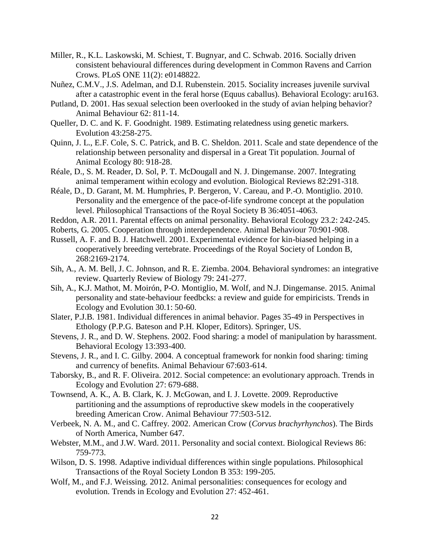- Miller, R., K.L. Laskowski, M. Schiest, T. Bugnyar, and C. Schwab. 2016. Socially driven consistent behavioural differences during development in Common Ravens and Carrion Crows. PLoS ONE 11(2): e0148822.
- Nuñez, C.M.V., J.S. Adelman, and D.I. Rubenstein. 2015. Sociality increases juvenile survival after a catastrophic event in the feral horse (Equus caballus). Behavioral Ecology: aru163.
- Putland, D. 2001. Has sexual selection been overlooked in the study of avian helping behavior? Animal Behaviour 62: 811-14.
- Queller, D. C. and K. F. Goodnight. 1989. Estimating relatedness using genetic markers. Evolution 43:258-275.
- Quinn, J. L., E.F. Cole, S. C. Patrick, and B. C. Sheldon. 2011. Scale and state dependence of the relationship between personality and dispersal in a Great Tit population. Journal of Animal Ecology 80: 918-28.
- Réale, D., S. M. Reader, D. Sol, P. T. McDougall and N. J. Dingemanse. 2007. Integrating animal temperament within ecology and evolution. Biological Reviews 82:291-318.
- Réale, D., D. Garant, M. M. Humphries, P. Bergeron, V. Careau, and P.-O. Montiglio. 2010. Personality and the emergence of the pace-of-life syndrome concept at the population level. Philosophical Transactions of the Royal Society B 36:4051-4063.
- Reddon, A.R. 2011. Parental effects on animal personality. Behavioral Ecology 23.2: 242-245.
- Roberts, G. 2005. Cooperation through interdependence. Animal Behaviour 70:901-908.
- Russell, A. F. and B. J. Hatchwell. 2001. Experimental evidence for kin-biased helping in a cooperatively breeding vertebrate. Proceedings of the Royal Society of London B, 268:2169-2174.
- Sih, A., A. M. Bell, J. C. Johnson, and R. E. Ziemba. 2004. Behavioral syndromes: an integrative review. Quarterly Review of Biology 79: 241-277.
- Sih, A., K.J. Mathot, M. Moirón, P-O. Montiglio, M. Wolf, and N.J. Dingemanse. 2015. Animal personality and state-behaviour feedbcks: a review and guide for empiricists. Trends in Ecology and Evolution 30.1: 50-60.
- Slater, P.J.B. 1981. Individual differences in animal behavior. Pages 35-49 in Perspectives in Ethology (P.P.G. Bateson and P.H. Kloper, Editors). Springer, US.
- Stevens, J. R., and D. W. Stephens. 2002. Food sharing: a model of manipulation by harassment. Behavioral Ecology 13:393-400.
- Stevens, J. R., and I. C. Gilby. 2004. A conceptual framework for nonkin food sharing: timing and currency of benefits. Animal Behaviour 67:603-614.
- Taborsky, B., and R. F. Oliveira. 2012. Social competence: an evolutionary approach. Trends in Ecology and Evolution 27: 679-688.
- Townsend, A. K., A. B. Clark, K. J. McGowan, and I. J. Lovette. 2009. Reproductive partitioning and the assumptions of reproductive skew models in the cooperatively breeding American Crow. Animal Behaviour 77:503-512.
- Verbeek, N. A. M., and C. Caffrey. 2002. American Crow (*Corvus brachyrhynchos*). The Birds of North America, Number 647.
- Webster, M.M., and J.W. Ward. 2011. Personality and social context. Biological Reviews 86: 759-773.
- Wilson, D. S. 1998. Adaptive individual differences within single populations. Philosophical Transactions of the Royal Society London B 353: 199-205.
- Wolf, M., and F.J. Weissing. 2012. Animal personalities: consequences for ecology and evolution. Trends in Ecology and Evolution 27: 452-461.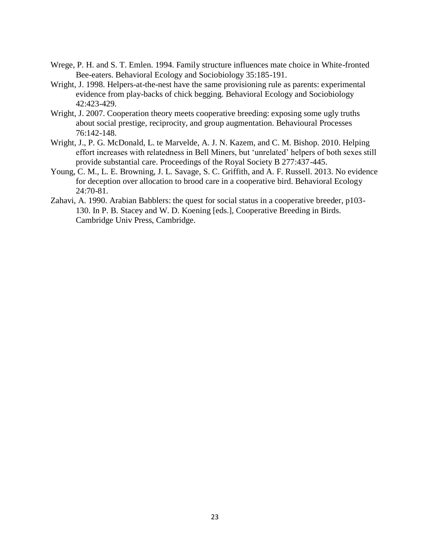- Wrege, P. H. and S. T. Emlen. 1994. Family structure influences mate choice in White-fronted Bee-eaters. Behavioral Ecology and Sociobiology 35:185-191.
- Wright, J. 1998. Helpers-at-the-nest have the same provisioning rule as parents: experimental evidence from play-backs of chick begging. Behavioral Ecology and Sociobiology 42:423-429.
- Wright, J. 2007. Cooperation theory meets cooperative breeding: exposing some ugly truths about social prestige, reciprocity, and group augmentation. Behavioural Processes 76:142-148.
- Wright, J., P. G. McDonald, L. te Marvelde, A. J. N. Kazem, and C. M. Bishop. 2010. Helping effort increases with relatedness in Bell Miners, but 'unrelated' helpers of both sexes still provide substantial care. Proceedings of the Royal Society B 277:437-445.
- Young, C. M., L. E. Browning, J. L. Savage, S. C. Griffith, and A. F. Russell. 2013. No evidence for deception over allocation to brood care in a cooperative bird. Behavioral Ecology 24:70-81.
- Zahavi, A. 1990. Arabian Babblers: the quest for social status in a cooperative breeder, p103- 130. In P. B. Stacey and W. D. Koening [eds.], Cooperative Breeding in Birds. Cambridge Univ Press, Cambridge.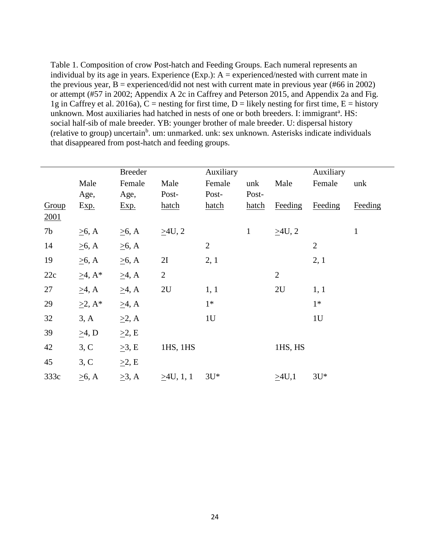Table 1. Composition of crow Post-hatch and Feeding Groups. Each numeral represents an individual by its age in years. Experience (Exp.):  $A =$  experienced/nested with current mate in the previous year,  $B =$  experienced/did not nest with current mate in previous year (#66 in 2002) or attempt (#57 in 2002; Appendix A 2c in Caffrey and Peterson 2015, and Appendix 2a and Fig. 1g in Caffrey et al. 2016a),  $C$  = nesting for first time, D = likely nesting for first time, E = history unknown. Most auxiliaries had hatched in nests of one or both breeders. I: immigrant<sup>a</sup>. HS: social half-sib of male breeder. YB: younger brother of male breeder. U: dispersal history (relative to group) uncertain<sup>b</sup>. um: unmarked. unk: sex unknown. Asterisks indicate individuals that disappeared from post-hatch and feeding groups.

|       |               | <b>Breeder</b> |                | Auxiliary      |              |                | Auxiliary      |              |
|-------|---------------|----------------|----------------|----------------|--------------|----------------|----------------|--------------|
|       | Male          | Female         | Male           | Female         | unk          | Male           | Female         | unk          |
|       | Age,          | Age,           | Post-          | Post-          | Post-        |                |                |              |
| Group | Exp.          | Exp.           | hatch          | hatch          | hatch        | Feeding        | Feeding        | Feeding      |
| 2001  |               |                |                |                |              |                |                |              |
| 7b    | $\geq 6$ , A  | $\geq 6$ , A   | $\geq$ 4U, 2   |                | $\mathbf{1}$ | $\geq$ 4U, 2   |                | $\mathbf{1}$ |
| 14    | $\geq 6$ , A  | $\geq 6$ , A   |                | $\overline{2}$ |              |                | $\overline{2}$ |              |
| 19    | $\geq 6$ , A  | $\geq 6$ , A   | 2I             | 2, 1           |              |                | 2, 1           |              |
| 22c   | $\geq 4$ , A* | $\geq 4$ , A   | $\overline{2}$ |                |              | $\overline{2}$ |                |              |
| 27    | $\geq 4$ , A  | $\geq$ 4, A    | 2U             | 1, 1           |              | 2U             | 1, 1           |              |
| 29    | $\geq$ 2, A*  | $\geq 4$ , A   |                | $1*$           |              |                | $1*$           |              |
| 32    | 3, A          | $\geq$ 2, A    |                | 1U             |              |                | 1U             |              |
| 39    | $\geq 4$ , D  | $\geq$ 2, E    |                |                |              |                |                |              |
| 42    | 3, C          | $\geq$ 3, E    | 1HS, 1HS       |                |              | 1HS, HS        |                |              |
| 45    | 3, C          | $\geq$ 2, E    |                |                |              |                |                |              |
| 333c  | $\geq 6$ , A  | $\geq 3$ , A   | >4U, 1, 1      | $3U^*$         |              | >4U,1          | $3U^*$         |              |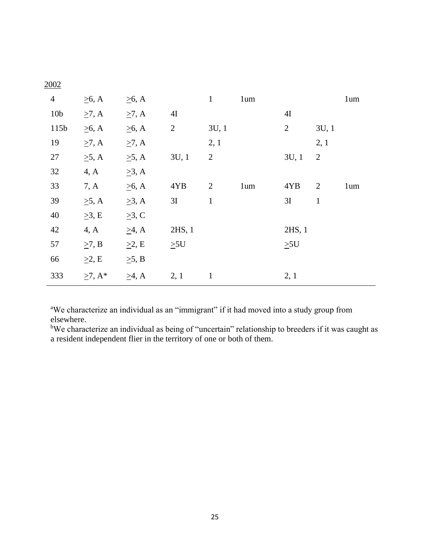| $\overline{4}$  | $\geq 6$ , A  | $\geq 6$ , A |                | $\mathbf{1}$   | 1um |                |                | 1um |
|-----------------|---------------|--------------|----------------|----------------|-----|----------------|----------------|-----|
| 10 <sub>b</sub> | $\geq 7$ , A  | $\geq 7$ , A | 4I             |                |     | 4I             |                |     |
| 115b            | $\geq 6$ , A  | $\geq 6$ , A | $\overline{2}$ | 3U, 1          |     | $\overline{2}$ | 3U, 1          |     |
| 19              | $\geq 7$ , A  | $\geq 7$ , A |                | 2, 1           |     |                | 2, 1           |     |
| 27              | $\geq 5$ , A  | $\geq$ 5, A  | 3U, 1          | $\overline{2}$ |     | 3U, 1          | $\overline{2}$ |     |
| 32              | 4, A          | $\geq 3$ , A |                |                |     |                |                |     |
| 33              | 7, A          | $\geq 6$ , A | 4YB            | $\overline{2}$ | 1um | 4YB            | $\overline{2}$ | 1um |
| 39              | $\geq$ 5, A   | $\geq$ 3, A  | 3I             | $\mathbf{1}$   |     | 3I             | $\mathbf{1}$   |     |
| 40              | $\geq$ 3, E   | $\geq$ 3, C  |                |                |     |                |                |     |
| 42              | 4, A          | $\geq 4$ , A | $2HS$ , 1      |                |     | 2HS, 1         |                |     |
| 57              | $\geq$ 7, B   | $\geq$ 2, E  | $\geq 5$ U     |                |     | $\geq 5$ U     |                |     |
| 66              | $\geq$ 2, E   | $\geq$ 5, B  |                |                |     |                |                |     |
| 333             | $\geq 7$ , A* | $\geq$ 4, A  | 2, 1           | $\mathbf{1}$   |     | 2, 1           |                |     |

<sup>a</sup>We characterize an individual as an "immigrant" if it had moved into a study group from elsewhere.

<sup>b</sup>We characterize an individual as being of "uncertain" relationship to breeders if it was caught as a resident independent flier in the territory of one or both of them.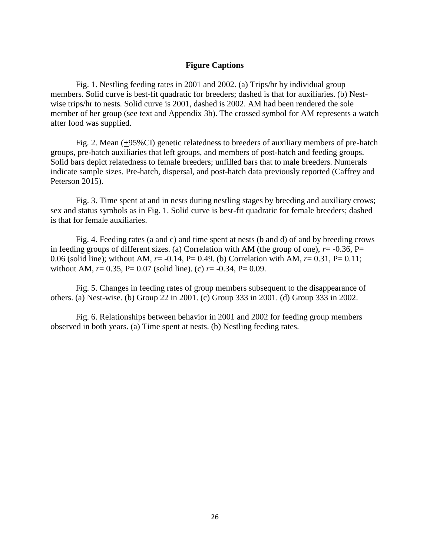# **Figure Captions**

Fig. 1. Nestling feeding rates in 2001 and 2002. (a) Trips/hr by individual group members. Solid curve is best-fit quadratic for breeders; dashed is that for auxiliaries. (b) Nestwise trips/hr to nests. Solid curve is 2001, dashed is 2002. AM had been rendered the sole member of her group (see text and Appendix 3b). The crossed symbol for AM represents a watch after food was supplied.

Fig. 2. Mean (+95%CI) genetic relatedness to breeders of auxiliary members of pre-hatch groups, pre-hatch auxiliaries that left groups, and members of post-hatch and feeding groups. Solid bars depict relatedness to female breeders; unfilled bars that to male breeders. Numerals indicate sample sizes. Pre-hatch, dispersal, and post-hatch data previously reported (Caffrey and Peterson 2015).

Fig. 3. Time spent at and in nests during nestling stages by breeding and auxiliary crows; sex and status symbols as in Fig. 1. Solid curve is best-fit quadratic for female breeders; dashed is that for female auxiliaries.

Fig. 4. Feeding rates (a and c) and time spent at nests (b and d) of and by breeding crows in feeding groups of different sizes. (a) Correlation with AM (the group of one),  $r = -0.36$ , P= 0.06 (solid line); without AM, *r*= -0.14, P= 0.49. (b) Correlation with AM, *r*= 0.31, P= 0.11; without AM,  $r = 0.35$ ,  $P = 0.07$  (solid line). (c)  $r = -0.34$ ,  $P = 0.09$ .

Fig. 5. Changes in feeding rates of group members subsequent to the disappearance of others. (a) Nest-wise. (b) Group 22 in 2001. (c) Group 333 in 2001. (d) Group 333 in 2002.

Fig. 6. Relationships between behavior in 2001 and 2002 for feeding group members observed in both years. (a) Time spent at nests. (b) Nestling feeding rates.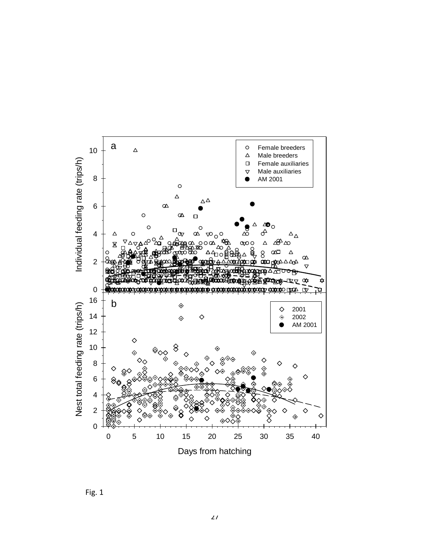

Fig. 1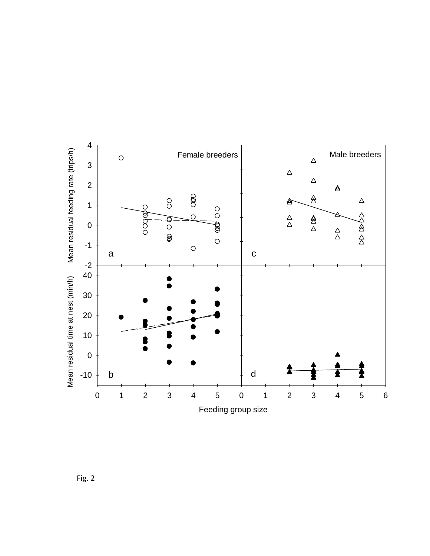

Fig. 2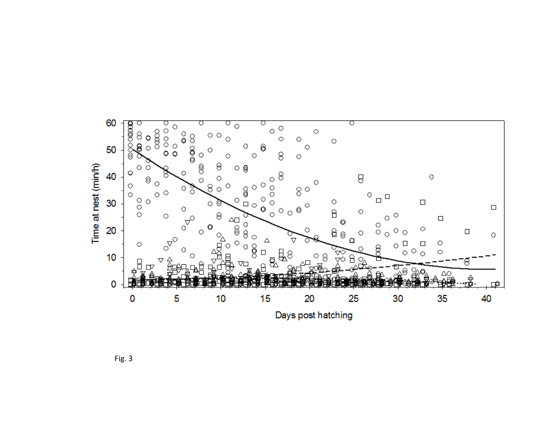

Fig. 3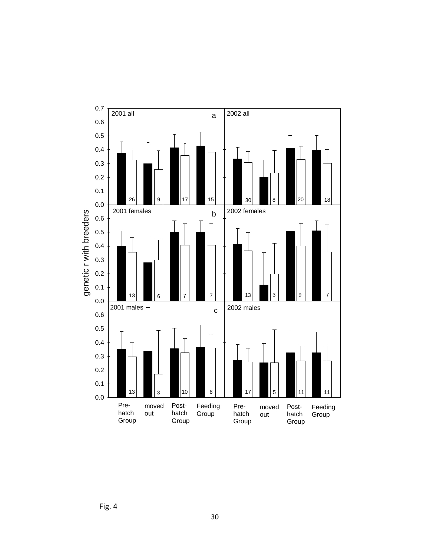

Fig. 4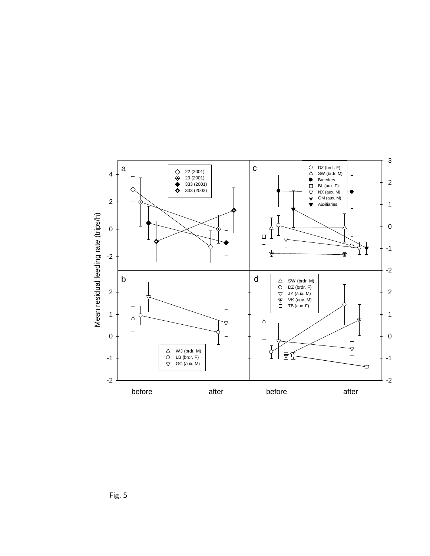

Fig. 5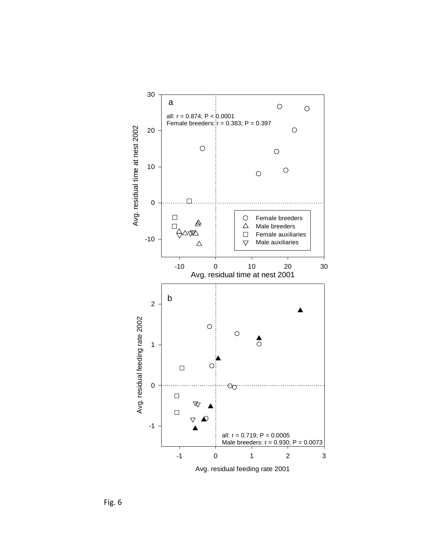

Fig. 6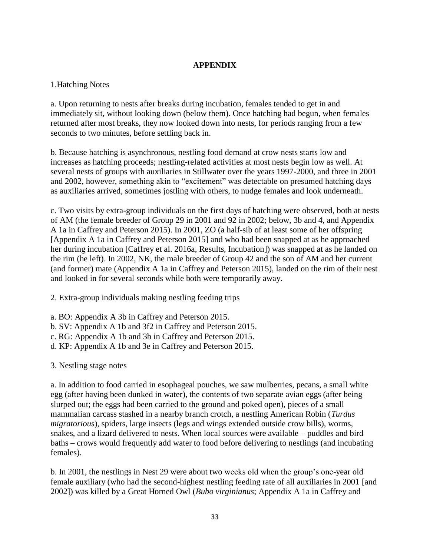# **APPENDIX**

# 1.Hatching Notes

a. Upon returning to nests after breaks during incubation, females tended to get in and immediately sit, without looking down (below them). Once hatching had begun, when females returned after most breaks, they now looked down into nests, for periods ranging from a few seconds to two minutes, before settling back in.

b. Because hatching is asynchronous, nestling food demand at crow nests starts low and increases as hatching proceeds; nestling-related activities at most nests begin low as well. At several nests of groups with auxiliaries in Stillwater over the years 1997-2000, and three in 2001 and 2002, however, something akin to "excitement" was detectable on presumed hatching days as auxiliaries arrived, sometimes jostling with others, to nudge females and look underneath.

c. Two visits by extra-group individuals on the first days of hatching were observed, both at nests of AM (the female breeder of Group 29 in 2001 and 92 in 2002; below, 3b and 4, and Appendix A 1a in Caffrey and Peterson 2015). In 2001, ZO (a half-sib of at least some of her offspring [Appendix A 1a in Caffrey and Peterson 2015] and who had been snapped at as he approached her during incubation [Caffrey et al. 2016a, Results, Incubation]) was snapped at as he landed on the rim (he left). In 2002, NK, the male breeder of Group 42 and the son of AM and her current (and former) mate (Appendix A 1a in Caffrey and Peterson 2015), landed on the rim of their nest and looked in for several seconds while both were temporarily away.

2. Extra-group individuals making nestling feeding trips

- a. BO: Appendix A 3b in Caffrey and Peterson 2015.
- b. SV: Appendix A 1b and 3f2 in Caffrey and Peterson 2015.
- c. RG: Appendix A 1b and 3b in Caffrey and Peterson 2015.
- d. KP: Appendix A 1b and 3e in Caffrey and Peterson 2015.

3. Nestling stage notes

a. In addition to food carried in esophageal pouches, we saw mulberries, pecans, a small white egg (after having been dunked in water), the contents of two separate avian eggs (after being slurped out; the eggs had been carried to the ground and poked open), pieces of a small mammalian carcass stashed in a nearby branch crotch, a nestling American Robin (*Turdus migratorious*), spiders, large insects (legs and wings extended outside crow bills), worms, snakes, and a lizard delivered to nests. When local sources were available – puddles and bird baths – crows would frequently add water to food before delivering to nestlings (and incubating females).

b. In 2001, the nestlings in Nest 29 were about two weeks old when the group's one-year old female auxiliary (who had the second-highest nestling feeding rate of all auxiliaries in 2001 [and 2002]) was killed by a Great Horned Owl (*Bubo virginianus*; Appendix A 1a in Caffrey and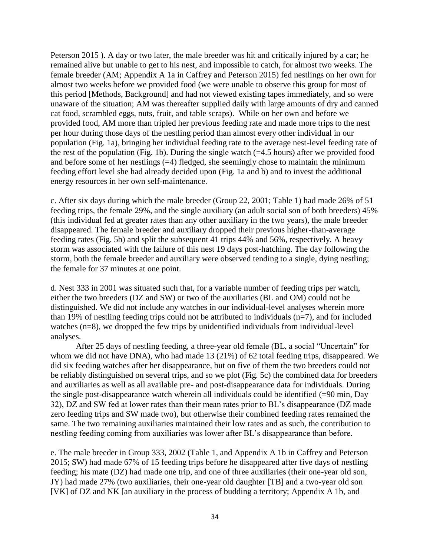Peterson 2015 ). A day or two later, the male breeder was hit and critically injured by a car; he remained alive but unable to get to his nest, and impossible to catch, for almost two weeks. The female breeder (AM; Appendix A 1a in Caffrey and Peterson 2015) fed nestlings on her own for almost two weeks before we provided food (we were unable to observe this group for most of this period [Methods, Background] and had not viewed existing tapes immediately, and so were unaware of the situation; AM was thereafter supplied daily with large amounts of dry and canned cat food, scrambled eggs, nuts, fruit, and table scraps). While on her own and before we provided food, AM more than tripled her previous feeding rate and made more trips to the nest per hour during those days of the nestling period than almost every other individual in our population (Fig. 1a), bringing her individual feeding rate to the average nest-level feeding rate of the rest of the population (Fig. 1b). During the single watch  $(=4.5 \text{ hours})$  after we provided food and before some of her nestlings  $(=4)$  fledged, she seemingly chose to maintain the minimum feeding effort level she had already decided upon (Fig. 1a and b) and to invest the additional energy resources in her own self-maintenance.

c. After six days during which the male breeder (Group 22, 2001; Table 1) had made 26% of 51 feeding trips, the female 29%, and the single auxiliary (an adult social son of both breeders) 45% (this individual fed at greater rates than any other auxiliary in the two years), the male breeder disappeared. The female breeder and auxiliary dropped their previous higher-than-average feeding rates (Fig. 5b) and split the subsequent 41 trips 44% and 56%, respectively. A heavy storm was associated with the failure of this nest 19 days post-hatching. The day following the storm, both the female breeder and auxiliary were observed tending to a single, dying nestling; the female for 37 minutes at one point.

d. Nest 333 in 2001 was situated such that, for a variable number of feeding trips per watch, either the two breeders (DZ and SW) or two of the auxiliaries (BL and OM) could not be distinguished. We did not include any watches in our individual-level analyses wherein more than 19% of nestling feeding trips could not be attributed to individuals  $(n=7)$ , and for included watches (n=8), we dropped the few trips by unidentified individuals from individual-level analyses.

After 25 days of nestling feeding, a three-year old female (BL, a social "Uncertain" for whom we did not have DNA), who had made 13 (21%) of 62 total feeding trips, disappeared. We did six feeding watches after her disappearance, but on five of them the two breeders could not be reliably distinguished on several trips, and so we plot (Fig. 5c) the combined data for breeders and auxiliaries as well as all available pre- and post-disappearance data for individuals. During the single post-disappearance watch wherein all individuals could be identified  $(=90 \text{ min}, \text{Day})$ 32), DZ and SW fed at lower rates than their mean rates prior to BL's disappearance (DZ made zero feeding trips and SW made two), but otherwise their combined feeding rates remained the same. The two remaining auxiliaries maintained their low rates and as such, the contribution to nestling feeding coming from auxiliaries was lower after BL's disappearance than before.

e. The male breeder in Group 333, 2002 (Table 1, and Appendix A 1b in Caffrey and Peterson 2015; SW) had made 67% of 15 feeding trips before he disappeared after five days of nestling feeding; his mate (DZ) had made one trip, and one of three auxiliaries (their one-year old son, JY) had made 27% (two auxiliaries, their one-year old daughter [TB] and a two-year old son [VK] of DZ and NK [an auxiliary in the process of budding a territory; Appendix A 1b, and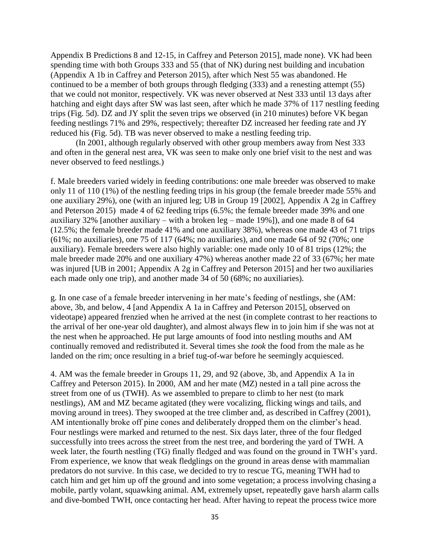Appendix B Predictions 8 and 12-15, in Caffrey and Peterson 2015], made none). VK had been spending time with both Groups 333 and 55 (that of NK) during nest building and incubation (Appendix A 1b in Caffrey and Peterson 2015), after which Nest 55 was abandoned. He continued to be a member of both groups through fledging (333) and a renesting attempt (55) that we could not monitor, respectively. VK was never observed at Nest 333 until 13 days after hatching and eight days after SW was last seen, after which he made 37% of 117 nestling feeding trips (Fig. 5d). DZ and JY split the seven trips we observed (in 210 minutes) before VK began feeding nestlings 71% and 29%, respectively; thereafter DZ increased her feeding rate and JY reduced his (Fig. 5d). TB was never observed to make a nestling feeding trip.

(In 2001, although regularly observed with other group members away from Nest 333 and often in the general nest area, VK was seen to make only one brief visit to the nest and was never observed to feed nestlings.)

f. Male breeders varied widely in feeding contributions: one male breeder was observed to make only 11 of 110 (1%) of the nestling feeding trips in his group (the female breeder made 55% and one auxiliary 29%), one (with an injured leg; UB in Group 19 [2002], Appendix A 2g in Caffrey and Peterson 2015) made 4 of 62 feeding trips (6.5%; the female breeder made 39% and one auxiliary 32% [another auxiliary – with a broken leg – made 19%]), and one made 8 of 64 (12.5%; the female breeder made 41% and one auxiliary 38%), whereas one made 43 of 71 trips (61%; no auxiliaries), one 75 of 117 (64%; no auxiliaries), and one made 64 of 92 (70%; one auxiliary). Female breeders were also highly variable: one made only 10 of 81 trips (12%; the male breeder made 20% and one auxiliary 47%) whereas another made 22 of 33 (67%; her mate was injured [UB in 2001; Appendix A 2g in Caffrey and Peterson 2015] and her two auxiliaries each made only one trip), and another made 34 of 50 (68%; no auxiliaries).

g. In one case of a female breeder intervening in her mate's feeding of nestlings, she (AM: above, 3b, and below, 4 [and Appendix A 1a in Caffrey and Peterson 2015], observed on videotape) appeared frenzied when he arrived at the nest (in complete contrast to her reactions to the arrival of her one-year old daughter), and almost always flew in to join him if she was not at the nest when he approached. He put large amounts of food into nestling mouths and AM continually removed and redistributed it. Several times she *took* the food from the male as he landed on the rim; once resulting in a brief tug-of-war before he seemingly acquiesced.

4. AM was the female breeder in Groups 11, 29, and 92 (above, 3b, and Appendix A 1a in Caffrey and Peterson 2015). In 2000, AM and her mate (MZ) nested in a tall pine across the street from one of us (TWH). As we assembled to prepare to climb to her nest (to mark nestlings), AM and MZ became agitated (they were vocalizing, flicking wings and tails, and moving around in trees). They swooped at the tree climber and, as described in Caffrey (2001), AM intentionally broke off pine cones and deliberately dropped them on the climber's head. Four nestlings were marked and returned to the nest. Six days later, three of the four fledged successfully into trees across the street from the nest tree, and bordering the yard of TWH. A week later, the fourth nestling (TG) finally fledged and was found on the ground in TWH's yard. From experience, we know that weak fledglings on the ground in areas dense with mammalian predators do not survive. In this case, we decided to try to rescue TG, meaning TWH had to catch him and get him up off the ground and into some vegetation; a process involving chasing a mobile, partly volant, squawking animal. AM, extremely upset, repeatedly gave harsh alarm calls and dive-bombed TWH, once contacting her head. After having to repeat the process twice more